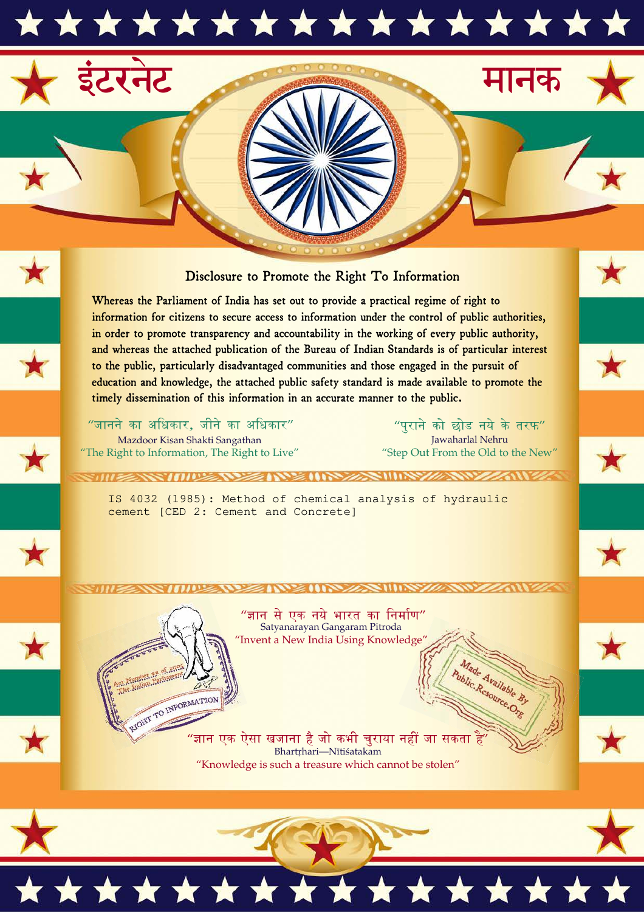

М

\*\*\*\*\*\*\*\*\*\*\*\*\*\*\*\*\*

इंटरनेट मानक

### Disclosure to Promote the Right To Information

Whereas the Parliament of India has set out to provide a practical regime of right to information for citizens to secure access to information under the control of public authorities, in order to promote transparency and accountability in the working of every public authority, and whereas the attached publication of the Bureau of Indian Standards is of particular interest to the public, particularly disadvantaged communities and those engaged in the pursuit of education and knowledge, the attached public safety standard is made available to promote the timely dissemination of this information in an accurate manner to the public.

 $"$ जानने का अधिकार, जीने का अधिकार $"$ Mazdoor Kisan Shakti Sangathan "The Right to Information, The Right to Live"

 $"$ पराने को छोड नये के तरफ $"$ Jawaharlal Nehru "Step Out From the Old to the New"

 $2250/22$ 2/2/2010 22/2022 102 2010 22/2022 2010 22/2

IS 4032 (1985): Method of chemical analysis of hydraulic cement [CED 2: Cement and Concrete]



 $\sim$ 

Made Available By **Made Available By** 



 $^{\prime\prime}$ ज्ञान से एक नये भारत का निर्माण $^{\prime\prime}$ Satyanarayan Gangaram Pitroda "Invent a New India Using Knowledge"

Bhartṛhari—Nītiśatakam "Knowledge is such a treasure which cannot be stolen"

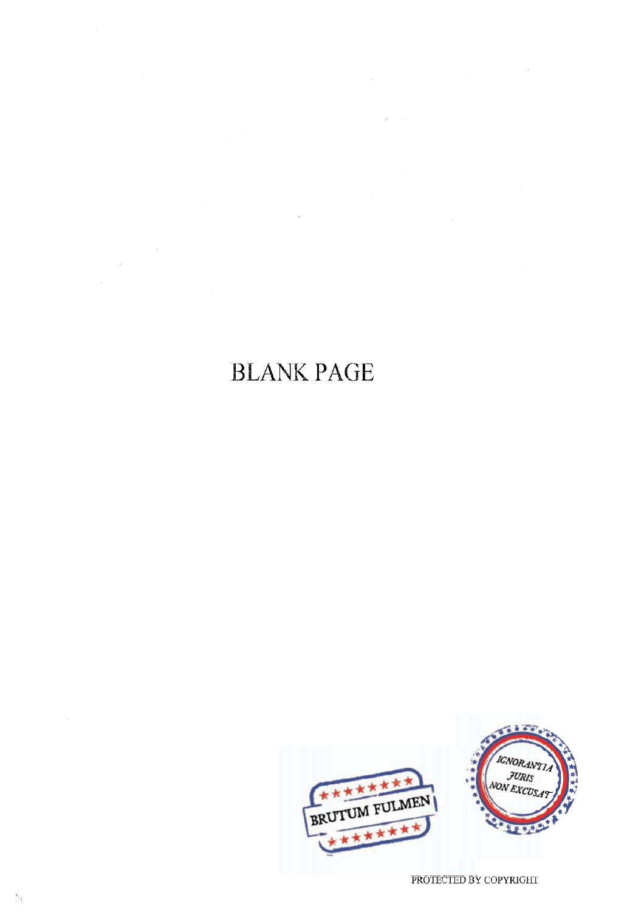# **BLANK PAGE**



PROTECTED BY COPYRIGHT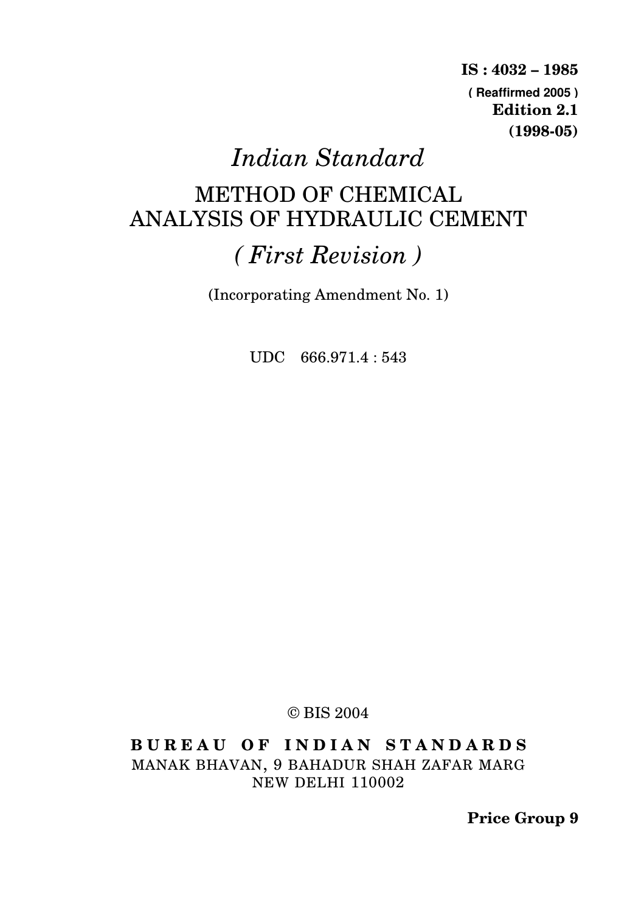**IS : 4032 – 1985 (Reaffirmed 2000) ( Reaffirmed 2005 )Edition 2.1 (1998-05)**

## *Indian Standard*

## METHOD OF CHEMICAL ANALYSIS OF HYDRAULIC CEMENT

## *( First Revision )*

(Incorporating Amendment No. 1)

UDC 666.971.4 : 543

© BIS 2004

**B U R E A U O F I N D I A N S T A N D A R D S** MANAK BHAVAN, 9 BAHADUR SHAH ZAFAR MARG NEW DELHI 110002

**Price Group 9**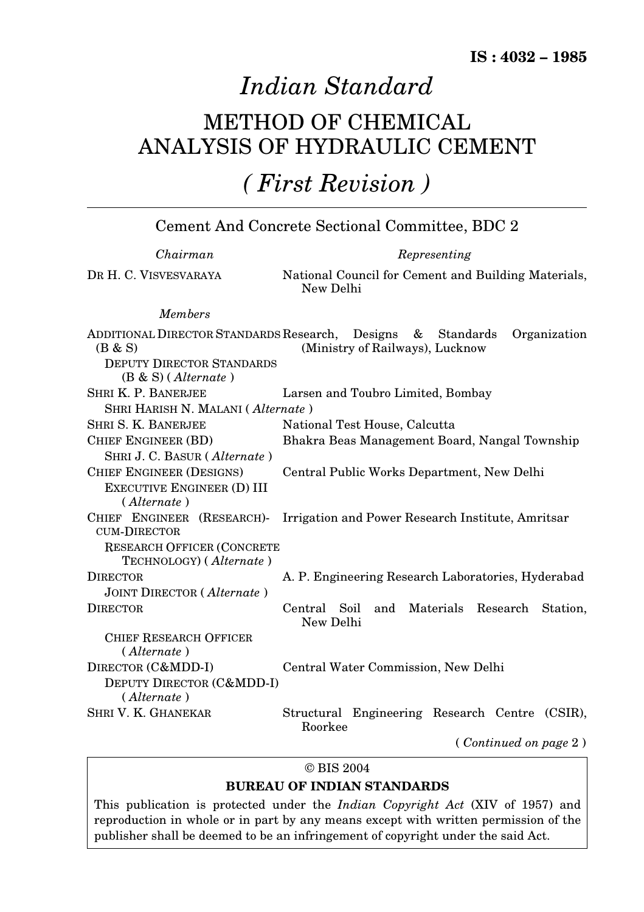## *Indian Standard* METHOD OF CHEMICAL ANALYSIS OF HYDRAULIC CEMENT

## *( First Revision )*

|                                                                      | Cement And Concrete Sectional Committee, BDC 2                                                                 |
|----------------------------------------------------------------------|----------------------------------------------------------------------------------------------------------------|
| Chairman                                                             | Representing                                                                                                   |
| DR H. C. VISVESVARAYA                                                | National Council for Cement and Building Materials,<br>New Delhi                                               |
| <b>Members</b>                                                       |                                                                                                                |
| (B & S)<br><b>DEPUTY DIRECTOR STANDARDS</b><br>$(B & S)$ (Alternate) | ADDITIONAL DIRECTOR STANDARDS Research, Designs & Standards<br>Organization<br>(Ministry of Railways), Lucknow |
| <b>SHRI K. P. BANERJEE</b>                                           | Larsen and Toubro Limited, Bombay                                                                              |
| SHRI HARISH N. MALANI (Alternate)                                    |                                                                                                                |
| SHRI S. K. BANERJEE                                                  | National Test House, Calcutta                                                                                  |
| <b>CHIEF ENGINEER (BD)</b>                                           | Bhakra Beas Management Board, Nangal Township                                                                  |
| SHRI J. C. BASUR (Alternate)                                         |                                                                                                                |
| CHIEF ENGINEER (DESIGNS)                                             | Central Public Works Department, New Delhi                                                                     |
| <b>EXECUTIVE ENGINEER (D) III</b><br>$(A$ lternate)                  |                                                                                                                |
| CHIEF ENGINEER (RESEARCH)-<br>CUM-DIRECTOR                           | Irrigation and Power Research Institute, Amritsar                                                              |
| <b>RESEARCH OFFICER (CONCRETE</b><br>TECHNOLOGY) (Alternate)         |                                                                                                                |
| <b>DIRECTOR</b>                                                      | A. P. Engineering Research Laboratories, Hyderabad                                                             |
| JOINT DIRECTOR (Alternate)                                           |                                                                                                                |
| <b>DIRECTOR</b>                                                      | Materials Research<br>Central Soil and<br>Station,<br>New Delhi                                                |
| <b>CHIEF RESEARCH OFFICER</b><br>(Alternate)                         |                                                                                                                |
| DIRECTOR (C&MDD-I)                                                   | Central Water Commission, New Delhi                                                                            |
| DEPUTY DIRECTOR (C&MDD-I)                                            |                                                                                                                |
| (Alternate)                                                          |                                                                                                                |
| SHRI V. K. GHANEKAR                                                  | Structural Engineering Research Centre (CSIR),<br>Roorkee                                                      |
|                                                                      | (Continued on page 2)                                                                                          |

© BIS 2004

#### **BUREAU OF INDIAN STANDARDS**

This publication is protected under the *Indian Copyright Act* (XIV of 1957) and reproduction in whole or in part by any means except with written permission of the publisher shall be deemed to be an infringement of copyright under the said Act.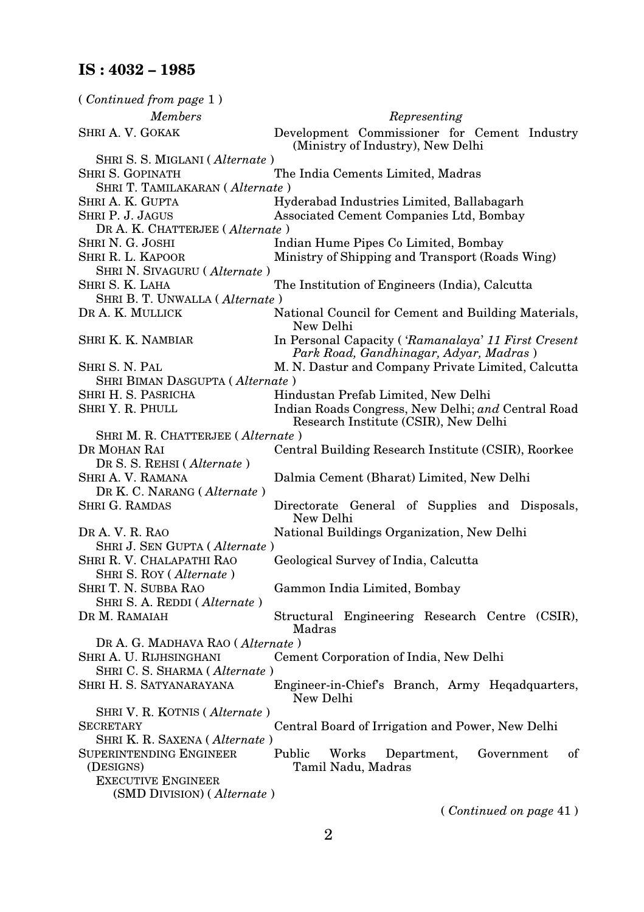( *Continued from page* 1) *Members Representing* SHRI A. V. GOKAK Development Commissioner for Cement Industry (Ministry of Industry), New Delhi SHRI S. S. MIGLANI ( *Alternate* ) The India Cements Limited, Madras SHRI T. TAMILAKARAN (*Alternate*)<br>SHRI A K GUPTA HV Hyderabad Industries Limited, Ballabagarh SHRI P. J. JAGUS Associated Cement Companies Ltd, Bombay DR A. K. CHATTERJEE ( *Alternate* ) SHRI N. G. JOSHI Indian Hume Pipes Co Limited, Bombay Ministry of Shipping and Transport (Roads Wing) SHRI N. SIVAGURU ( *Alternate* ) The Institution of Engineers (India), Calcutta SHRI B. T. UNWALLA (*Alternate*)<br>DR A K MILLICK National Council for Cement and Building Materials, New Delhi SHRI K. K. NAMBIAR In Personal Capacity ( '*Ramanalaya*' *11 First Cresent Park Road, Gandhinagar, Adyar, Madras* ) SHRI S. N. PAL M. N. Dastur and Company Private Limited, Calcutta SHRI BIMAN DASGUPTA ( *Alternate* ) Hindustan Prefab Limited, New Delhi SHRI Y. R. PHULL Indian Roads Congress, New Delhi; *and* Central Road Research Institute (CSIR), New Delhi SHRI M. R. CHATTERJEE ( *Alternate* ) DR MOHAN RAI Central Building Research Institute (CSIR), Roorkee DR S. S. REHSI ( *Alternate* ) Dalmia Cement (Bharat) Limited, New Delhi DR K. C. NARANG ( *Alternate* ) SHRI G. RAMDAS Directorate General of Supplies and Disposals, New Delhi DR A. V. R. RAO National Buildings Organization, New Delhi SHRI J. SEN GUPTA ( *Alternate* ) Geological Survey of India, Calcutta SHRI S. ROY (*Alternate*)<br>SHRI T. N. SUBBA RAO Gammon India Limited, Bombay SHRI S. A. REDDI ( *Alternate* ) Structural Engineering Research Centre (CSIR), Madras DR A. G. MADHAVA RAO ( *Alternate* ) Cement Corporation of India, New Delhi SHRI C. S. SHARMA (*Alternate*)<br>SHRI H. S. SATYANARAYANA Engineer-in-Chief's Branch, Army Heqadquarters, New Delhi SHRI V. R. KOTNIS ( *Alternate* ) SECRETARY Central Board of Irrigation and Power, New Delhi SHRI K. R. SAXENA ( *Alternate* ) SUPERINTENDING ENGINEER (DESIGNS) Public Works Department, Government of Tamil Nadu, Madras EXECUTIVE ENGINEER (SMD DIVISION) ( *Alternate* )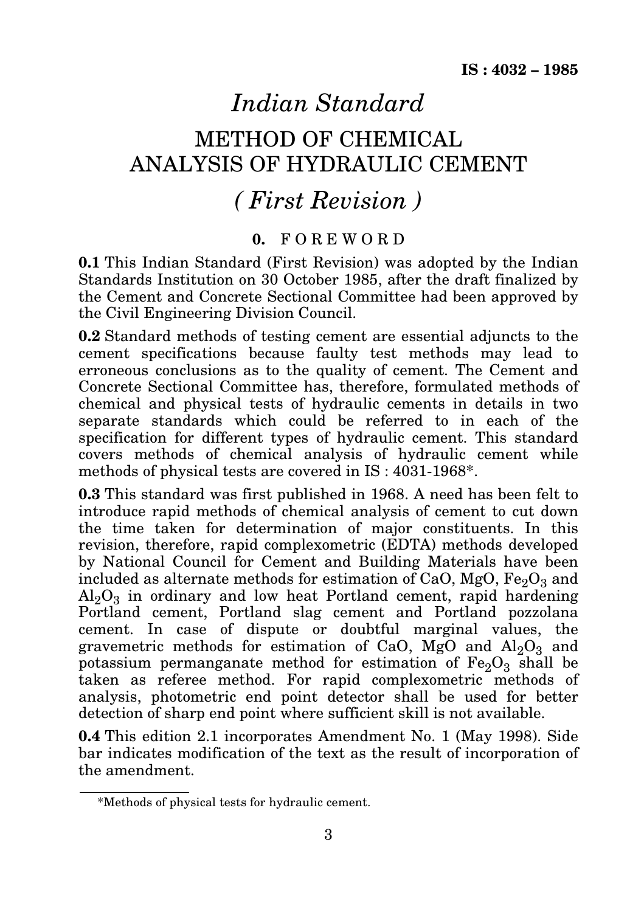## *Indian Standard*

## METHOD OF CHEMICAL ANALYSIS OF HYDRAULIC CEMENT

## *( First Revision )*

#### **0.** F O R E W O R D

**0.1** This Indian Standard (First Revision) was adopted by the Indian Standards Institution on 30 October 1985, after the draft finalized by the Cement and Concrete Sectional Committee had been approved by the Civil Engineering Division Council.

**0.2** Standard methods of testing cement are essential adjuncts to the cement specifications because faulty test methods may lead to erroneous conclusions as to the quality of cement. The Cement and Concrete Sectional Committee has, therefore, formulated methods of chemical and physical tests of hydraulic cements in details in two separate standards which could be referred to in each of the specification for different types of hydraulic cement. This standard covers methods of chemical analysis of hydraulic cement while methods of physical tests are covered in IS : 4031-1968\*.

**0.3** This standard was first published in 1968. A need has been felt to introduce rapid methods of chemical analysis of cement to cut down the time taken for determination of major constituents. In this revision, therefore, rapid complexometric (EDTA) methods developed by National Council for Cement and Building Materials have been included as alternate methods for estimation of CaO, MgO,  $\rm Fe_2O_3$  and  $\rm Al_2O_3$  in ordinary and low heat Portland cement, rapid hardening Portland cement, Portland slag cement and Portland pozzolana cement. In case of dispute or doubtful marginal values, the gravemetric methods for estimation of CaO, MgO and  $Al_2O_3$  and potassium permanganate method for estimation of  $Fe<sub>2</sub>O<sub>3</sub>$  shall be taken as referee method. For rapid complexometric methods of analysis, photometric end point detector shall be used for better detection of sharp end point where sufficient skill is not available.

**0.4** This edition 2.1 incorporates Amendment No. 1 (May 1998). Side bar indicates modification of the text as the result of incorporation of the amendment.

<sup>\*</sup>Methods of physical tests for hydraulic cement.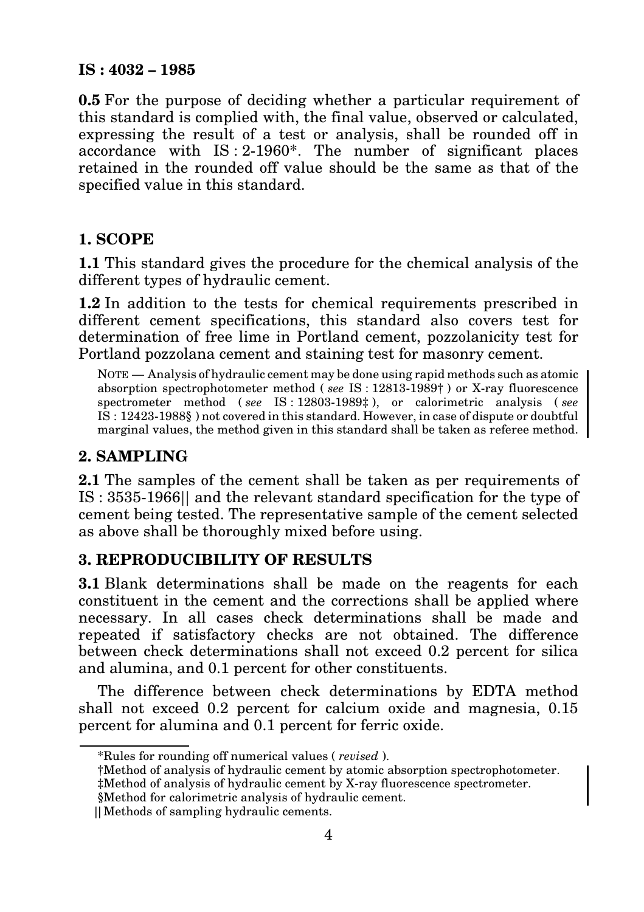**0.5** For the purpose of deciding whether a particular requirement of this standard is complied with, the final value, observed or calculated, expressing the result of a test or analysis, shall be rounded off in accordance with IS : 2-1960\*. The number of significant places retained in the rounded off value should be the same as that of the specified value in this standard.

#### **1. SCOPE**

**1.1** This standard gives the procedure for the chemical analysis of the different types of hydraulic cement.

**1.2** In addition to the tests for chemical requirements prescribed in different cement specifications, this standard also covers test for determination of free lime in Portland cement, pozzolanicity test for Portland pozzolana cement and staining test for masonry cement.

NOTE — Analysis of hydraulic cement may be done using rapid methods such as atomic absorption spectrophotometer method ( *see* IS : 12813-1989† ) or X-ray fluorescence spectrometer method ( *see* IS : 12803-1989‡ ), or calorimetric analysis ( *see* IS : 12423-1988§ ) not covered in this standard. However, in case of dispute or doubtful marginal values, the method given in this standard shall be taken as referee method.

#### **2. SAMPLING**

**2.1** The samples of the cement shall be taken as per requirements of IS : 3535-1966**||** and the relevant standard specification for the type of cement being tested. The representative sample of the cement selected as above shall be thoroughly mixed before using.

#### **3. REPRODUCIBILITY OF RESULTS**

**3.1** Blank determinations shall be made on the reagents for each constituent in the cement and the corrections shall be applied where necessary. In all cases check determinations shall be made and repeated if satisfactory checks are not obtained. The difference between check determinations shall not exceed 0.2 percent for silica and alumina, and 0.1 percent for other constituents.

The difference between check determinations by EDTA method shall not exceed 0.2 percent for calcium oxide and magnesia, 0.15 percent for alumina and 0.1 percent for ferric oxide.

<sup>\*</sup>Rules for rounding off numerical values ( *revised* ).

<sup>†</sup>Method of analysis of hydraulic cement by atomic absorption spectrophotometer.

<sup>‡</sup>Method of analysis of hydraulic cement by X-ray fluorescence spectrometer.

<sup>§</sup>Method for calorimetric analysis of hydraulic cement.

<sup>||</sup>Methods of sampling hydraulic cements.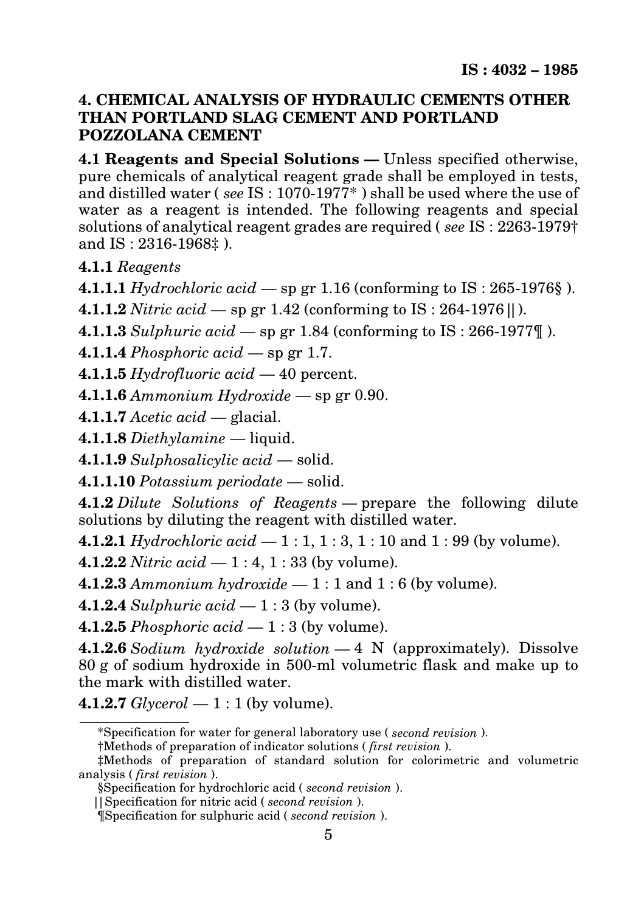#### **4. CHEMICAL ANALYSIS OF HYDRAULIC CEMENTS OTHER THAN PORTLAND SLAG CEMENT AND PORTLAND POZZOLANA CEMENT**

**4.1 Reagents and Special Solutions —** Unless specified otherwise, pure chemicals of analytical reagent grade shall be employed in tests, and distilled water ( *see* IS : 1070-1977\* ) shall be used where the use of water as a reagent is intended. The following reagents and special solutions of analytical reagent grades are required ( *see* IS : 2263-1979† and IS : 2316-1968‡ ).

**4.1.1** *Reagents*

**4.1.1.1** *Hydrochloric acid* — sp gr 1.16 (conforming to IS : 265-1976§ ).

**4.1.1.2** *Nitric acid* — sp gr 1.42 (conforming to IS : 264-1976||).

**4.1.1.3** *Sulphuric acid* — sp gr 1.84 (conforming to IS : 266-1977¶ ).

**4.1.1.4** *Phosphoric acid* — sp gr 1.7.

**4.1.1.5** *Hydrofluoric acid* — 40 percent.

**4.1.1.6** *Ammonium Hydroxide* — sp gr 0.90.

**4.1.1.7** *Acetic acid —* glacial.

**4.1.1.8** *Diethylamine* — liquid.

**4.1.1.9** *Sulphosalicylic acid* — solid.

**4.1.1.10** *Potassium periodate —* solid.

**4.1.2** *Dilute Solutions of Reagents* — prepare the following dilute solutions by diluting the reagent with distilled water.

**4.1.2.1** *Hydrochloric acid* — 1 : 1, 1 : 3, 1 : 10 and 1 : 99 (by volume).

**4.1.2.2** *Nitric acid —* 1 : 4, 1 : 33 (by volume).

**4.1.2.3** *Ammonium hydroxide —* 1 : 1 and 1 : 6 (by volume).

**4.1.2.4** *Sulphuric acid —* 1 : 3 (by volume).

**4.1.2.5** *Phosphoric acid —* 1 : 3 (by volume).

**4.1.2.6** *Sodium hydroxide solution —* 4 N (approximately). Dissolve 80 g of sodium hydroxide in 500-ml volumetric flask and make up to the mark with distilled water.

**4.1.2.7** *Glycerol* — 1 : 1 (by volume).

<sup>\*</sup>Specification for water for general laboratory use ( *second revision* ).

<sup>†</sup>Methods of preparation of indicator solutions ( *first revision* ).

<sup>‡</sup>Methods of preparation of standard solution for colorimetric and volumetric analysis ( *first revision* ).

<sup>§</sup>Specification for hydrochloric acid ( *second revision* ).

<sup>||</sup>Specification for nitric acid ( *second revision* ).

<sup>¶</sup>Specification for sulphuric acid ( *second revision* ).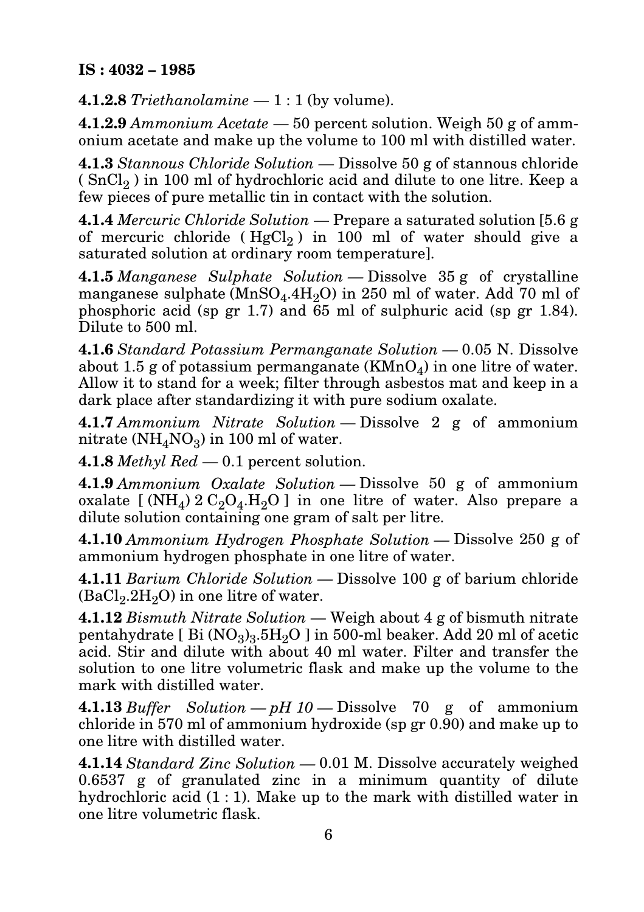**4.1.2.8** *Triethanolamine* — 1 : 1 (by volume).

**4.1.2.9** *Ammonium Acetate* — 50 percent solution. Weigh 50 g of ammonium acetate and make up the volume to 100 ml with distilled water.

**4.1.3** *Stannous Chloride Solution —* Dissolve 50 g of stannous chloride  $(\text{SnCl}_2)$  in  $100$  ml of hydrochloric acid and dilute to one litre. Keep a few pieces of pure metallic tin in contact with the solution.

**4.1.4** *Mercuric Chloride Solution* — Prepare a saturated solution [5.6 g of mercuric chloride ( $\rm{HgCl_2}$ ) in 100 ml of water should give a saturated solution at ordinary room temperature].

**4.1.5** *Manganese Sulphate Solution —* Dissolve 35 g of crystalline manganese sulphate (MnSO $_4$ .4H $_2$ O) in 250 ml of water. Add 70 ml of phosphoric acid (sp gr 1.7) and 65 ml of sulphuric acid (sp gr 1.84). Dilute to 500 ml.

**4.1.6** *Standard Potassium Permanganate Solution —* 0.05 N. Dissolve about 1.5 g of potassium permanganate  $(KMnO<sub>4</sub>)$  in one litre of water. Allow it to stand for a week; filter through asbestos mat and keep in a dark place after standardizing it with pure sodium oxalate.

**4.1.7** *Ammonium Nitrate Solution* — Dissolve 2 g of ammonium nitrate ( $NH_4NO_3$ ) in 100 ml of water.

**4.1.8** *Methyl Red —* 0.1 percent solution.

**4.1.9** *Ammonium Oxalate Solution —* Dissolve 50 g of ammonium oxalate [  $(NH_4) 2 C_2O_4H_2O$  ] in one litre of water. Also prepare a dilute solution containing one gram of salt per litre.

**4.1.10** *Ammonium Hydrogen Phosphate Solution —* Dissolve 250 g of ammonium hydrogen phosphate in one litre of water.

**4.1.11** *Barium Chloride Solution —* Dissolve 100 g of barium chloride  $\rm (BaCl_2.2H_2O)$  in one litre of water.

**4.1.12** *Bismuth Nitrate Solution* — Weigh about 4 g of bismuth nitrate pentahydrate [  $\rm{Bi}$  (NO<sub>3</sub>) $_{3}$ .5H $_{2}$ O ] in 500-ml beaker. Add 20 ml of acetic acid. Stir and dilute with about 40 ml water. Filter and transfer the solution to one litre volumetric flask and make up the volume to the mark with distilled water.

**4.1.13** *Buffer Solution — pH 10 —* Dissolve 70 g of ammonium chloride in 570 ml of ammonium hydroxide (sp gr 0.90) and make up to one litre with distilled water.

**4.1.14** *Standard Zinc Solution —* 0.01 M. Dissolve accurately weighed 0.6537 g of granulated zinc in a minimum quantity of dilute hydrochloric acid  $(1:1)$ . Make up to the mark with distilled water in one litre volumetric flask.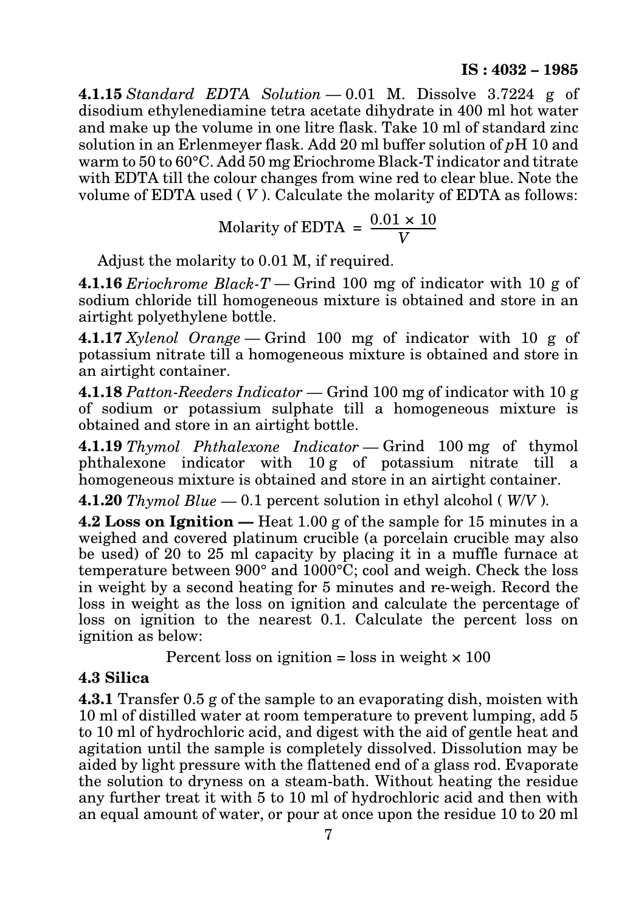**4.1.15** *Standard EDTA Solution —* 0.01 M. Dissolve 3.7224 g of disodium ethylenediamine tetra acetate dihydrate in 400 ml hot water and make up the volume in one litre flask. Take 10 ml of standard zinc solution in an Erlenmeyer flask. Add 20 ml buffer solution of *p*H 10 and warm to 50 to 60°C. Add 50 mg Eriochrome Black-T indicator and titrate with EDTA till the colour changes from wine red to clear blue. Note the volume of EDTA used ( *V* ). Calculate the molarity of EDTA as follows:

Molarity of EDTA = 
$$
\frac{0.01 \times 10}{V}
$$

Adjust the molarity to 0.01 M, if required.

**4.1.16** *Eriochrome Black-T* — Grind 100 mg of indicator with 10 g of sodium chloride till homogeneous mixture is obtained and store in an airtight polyethylene bottle.

**4.1.17** *Xylenol Orange —* Grind 100 mg of indicator with 10 g of potassium nitrate till a homogeneous mixture is obtained and store in an airtight container.

**4.1.18** *Patton-Reeders Indicator —* Grind 100 mg of indicator with 10 g of sodium or potassium sulphate till a homogeneous mixture is obtained and store in an airtight bottle.

**4.1.19** *Thymol Phthalexone Indicator —* Grind 100 mg of thymol phthalexone indicator with 10 g of potassium nitrate till a homogeneous mixture is obtained and store in an airtight container.

**4.1.20** *Thymol Blue —* 0.1 percent solution in ethyl alcohol ( *W*/*V* ).

**4.2 Loss on Ignition —** Heat 1.00 g of the sample for 15 minutes in a weighed and covered platinum crucible (a porcelain crucible may also be used) of 20 to 25 ml capacity by placing it in a muffle furnace at temperature between 900° and 1000°C; cool and weigh. Check the loss in weight by a second heating for 5 minutes and re-weigh. Record the loss in weight as the loss on ignition and calculate the percentage of loss on ignition to the nearest 0.1. Calculate the percent loss on ignition as below:

Percent loss on ignition  $=$  loss in weight  $\times$  100

#### **4.3 Silica**

**4.3.1** Transfer 0.5 g of the sample to an evaporating dish, moisten with 10 ml of distilled water at room temperature to prevent lumping, add 5 to 10 ml of hydrochloric acid, and digest with the aid of gentle heat and agitation until the sample is completely dissolved. Dissolution may be aided by light pressure with the flattened end of a glass rod. Evaporate the solution to dryness on a steam-bath. Without heating the residue any further treat it with 5 to 10 ml of hydrochloric acid and then with an equal amount of water, or pour at once upon the residue 10 to 20 ml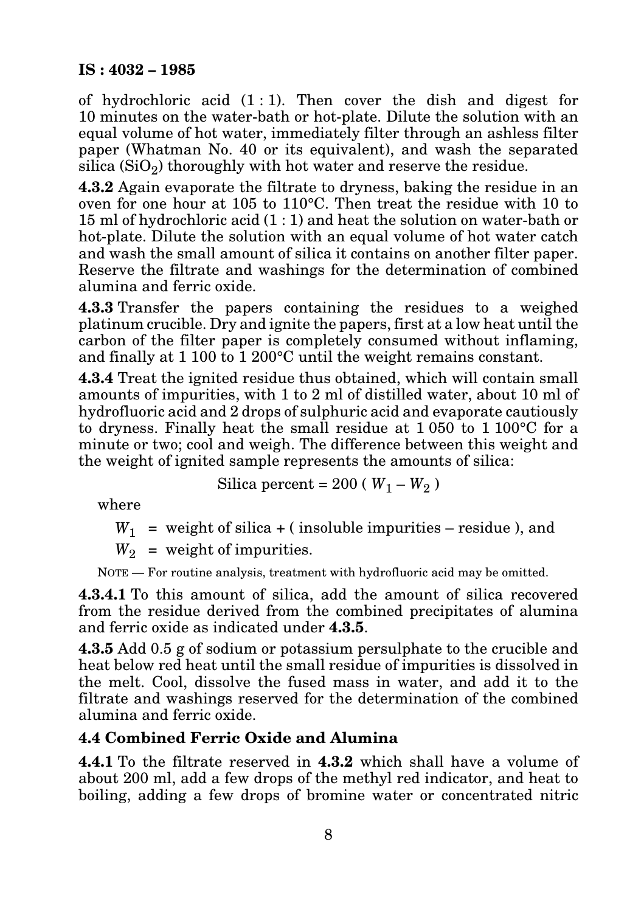of hydrochloric acid  $(1:1)$ . Then cover the dish and digest for 10 minutes on the water-bath or hot-plate. Dilute the solution with an equal volume of hot water, immediately filter through an ashless filter paper (Whatman No. 40 or its equivalent), and wash the separated silica  $(SiO_2)$  thoroughly with hot water and reserve the residue.

**4.3.2** Again evaporate the filtrate to dryness, baking the residue in an oven for one hour at 105 to 110°C. Then treat the residue with 10 to 15 ml of hydrochloric acid (1 : 1) and heat the solution on water-bath or hot-plate. Dilute the solution with an equal volume of hot water catch and wash the small amount of silica it contains on another filter paper. Reserve the filtrate and washings for the determination of combined alumina and ferric oxide.

**4.3.3** Transfer the papers containing the residues to a weighed platinum crucible. Dry and ignite the papers, first at a low heat until the carbon of the filter paper is completely consumed without inflaming, and finally at 1 100 to 1 200°C until the weight remains constant.

**4.3.4** Treat the ignited residue thus obtained, which will contain small amounts of impurities, with 1 to 2 ml of distilled water, about 10 ml of hydrofluoric acid and 2 drops of sulphuric acid and evaporate cautiously to dryness. Finally heat the small residue at 1 050 to 1 100°C for a minute or two; cool and weigh. The difference between this weight and the weight of ignited sample represents the amounts of silica:

 $\text{Silica percent} = 200 \ (\ W_1 - W_2)$ 

where

 $W_1$  = weight of silica + ( insoluble impurities – residue ), and

 $W_2$  = weight of impurities.

NOTE — For routine analysis, treatment with hydrofluoric acid may be omitted.

**4.3.4.1** To this amount of silica, add the amount of silica recovered from the residue derived from the combined precipitates of alumina and ferric oxide as indicated under **4.3.5**.

**4.3.5** Add 0.5 g of sodium or potassium persulphate to the crucible and heat below red heat until the small residue of impurities is dissolved in the melt. Cool, dissolve the fused mass in water, and add it to the filtrate and washings reserved for the determination of the combined alumina and ferric oxide.

#### **4.4 Combined Ferric Oxide and Alumina**

**4.4.1** To the filtrate reserved in **4.3.2** which shall have a volume of about 200 ml, add a few drops of the methyl red indicator, and heat to boiling, adding a few drops of bromine water or concentrated nitric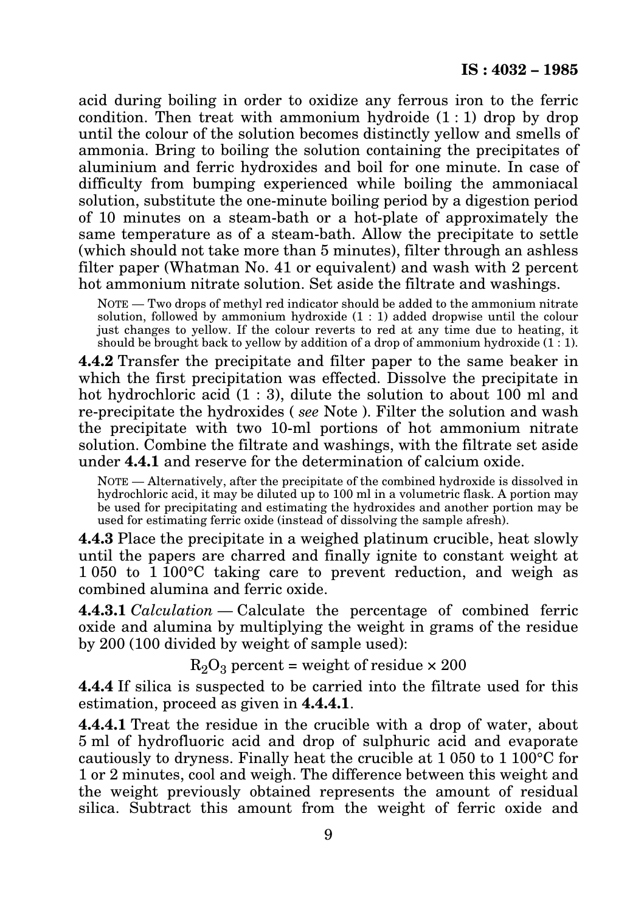acid during boiling in order to oxidize any ferrous iron to the ferric condition. Then treat with ammonium hydroide  $(1:1)$  drop by drop until the colour of the solution becomes distinctly yellow and smells of ammonia. Bring to boiling the solution containing the precipitates of aluminium and ferric hydroxides and boil for one minute. In case of difficulty from bumping experienced while boiling the ammoniacal solution, substitute the one-minute boiling period by a digestion period of 10 minutes on a steam-bath or a hot-plate of approximately the same temperature as of a steam-bath. Allow the precipitate to settle (which should not take more than 5 minutes), filter through an ashless filter paper (Whatman No. 41 or equivalent) and wash with 2 percent hot ammonium nitrate solution. Set aside the filtrate and washings.

NOTE — Two drops of methyl red indicator should be added to the ammonium nitrate solution, followed by ammonium hydroxide (1 : 1) added dropwise until the colour just changes to yellow. If the colour reverts to red at any time due to heating, it should be brought back to yellow by addition of a drop of ammonium hydroxide  $(1 : 1)$ .

**4.4.2** Transfer the precipitate and filter paper to the same beaker in which the first precipitation was effected. Dissolve the precipitate in hot hydrochloric acid (1 : 3), dilute the solution to about 100 ml and re-precipitate the hydroxides ( *see* Note ). Filter the solution and wash the precipitate with two 10-ml portions of hot ammonium nitrate solution. Combine the filtrate and washings, with the filtrate set aside under **4.4.1** and reserve for the determination of calcium oxide.

NOTE — Alternatively, after the precipitate of the combined hydroxide is dissolved in hydrochloric acid, it may be diluted up to 100 ml in a volumetric flask. A portion may be used for precipitating and estimating the hydroxides and another portion may be used for estimating ferric oxide (instead of dissolving the sample afresh).

**4.4.3** Place the precipitate in a weighed platinum crucible, heat slowly until the papers are charred and finally ignite to constant weight at 1 050 to 1 100°C taking care to prevent reduction, and weigh as combined alumina and ferric oxide.

**4.4.3.1** *Calculation* — Calculate the percentage of combined ferric oxide and alumina by multiplying the weight in grams of the residue by 200 (100 divided by weight of sample used):

 $R_2O_3$  percent = weight of residue  $\times$  200

**4.4.4** If silica is suspected to be carried into the filtrate used for this estimation, proceed as given in **4.4.4.1**.

**4.4.4.1** Treat the residue in the crucible with a drop of water, about 5 ml of hydrofluoric acid and drop of sulphuric acid and evaporate cautiously to dryness. Finally heat the crucible at 1 050 to 1 100°C for 1 or 2 minutes, cool and weigh. The difference between this weight and the weight previously obtained represents the amount of residual silica. Subtract this amount from the weight of ferric oxide and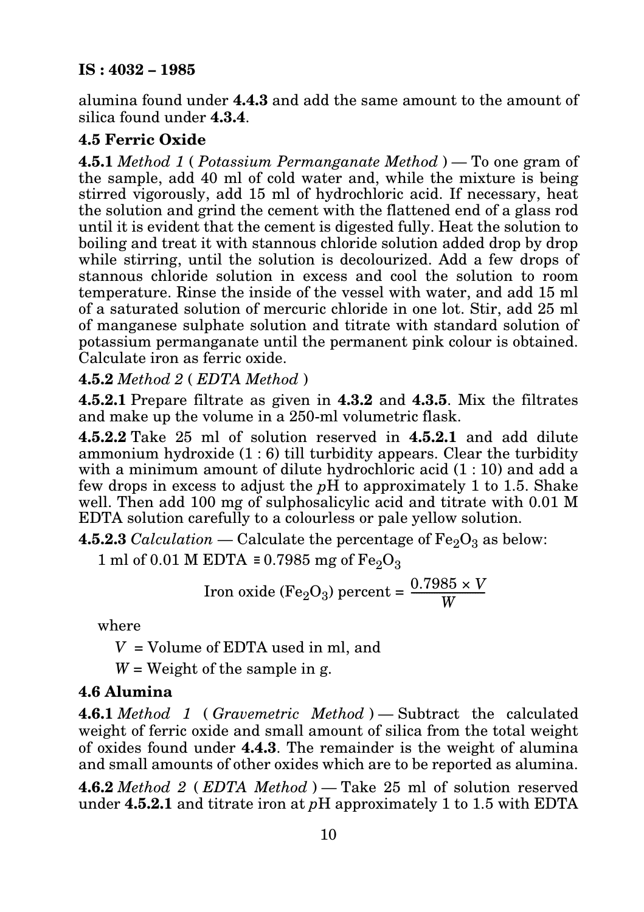alumina found under **4.4.3** and add the same amount to the amount of silica found under **4.3.4**.

#### **4.5 Ferric Oxide**

**4.5.1** *Method 1* ( *Potassium Permanganate Method* ) — To one gram of the sample, add 40 ml of cold water and, while the mixture is being stirred vigorously, add 15 ml of hydrochloric acid. If necessary, heat the solution and grind the cement with the flattened end of a glass rod until it is evident that the cement is digested fully. Heat the solution to boiling and treat it with stannous chloride solution added drop by drop while stirring, until the solution is decolourized. Add a few drops of stannous chloride solution in excess and cool the solution to room temperature. Rinse the inside of the vessel with water, and add 15 ml of a saturated solution of mercuric chloride in one lot. Stir, add 25 ml of manganese sulphate solution and titrate with standard solution of potassium permanganate until the permanent pink colour is obtained. Calculate iron as ferric oxide.

#### **4.5.2** *Method 2* ( *EDTA Method* )

**4.5.2.1** Prepare filtrate as given in **4.3.2** and **4.3.5**. Mix the filtrates and make up the volume in a 250-ml volumetric flask.

**4.5.2.2** Take 25 ml of solution reserved in **4.5.2.1** and add dilute ammonium hydroxide  $(1:6)$  till turbidity appears. Clear the turbidity with a minimum amount of dilute hydrochloric acid (1 : 10) and add a few drops in excess to adjust the *p*H to approximately 1 to 1.5. Shake well. Then add 100 mg of sulphosalicylic acid and titrate with 0.01 M EDTA solution carefully to a colourless or pale yellow solution.

**4.5.2.3**  $\emph{Calculation}$  — Calculate the percentage of  $\mathrm{Fe_{2}O_{3}}$  as below:

1 ml of 0.01 M EDTA  $\equiv$  0.7985 mg of Fe<sub>2</sub>O<sub>3</sub>

$$
\text{Iron oxide (Fe}_2\text{O}_3) \text{ percent} = \frac{0.7985 \times V}{W}
$$

where

*V* = Volume of EDTA used in ml, and

 $W = Weight of the sample in g.$ 

#### **4.6 Alumina**

**4.6.1** *Method 1* ( *Gravemetric Method* ) — Subtract the calculated weight of ferric oxide and small amount of silica from the total weight of oxides found under **4.4.3**. The remainder is the weight of alumina and small amounts of other oxides which are to be reported as alumina.

**4.6.2** *Method 2* ( *EDTA Method* ) — Take 25 ml of solution reserved under **4.5.2.1** and titrate iron at *p*H approximately 1 to 1.5 with EDTA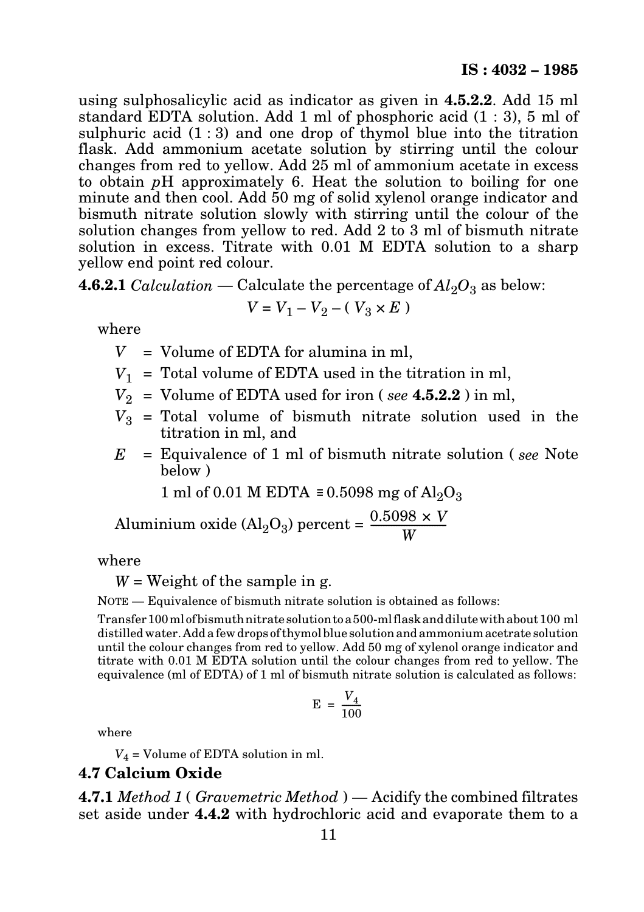using sulphosalicylic acid as indicator as given in **4.5.2.2**. Add 15 ml standard EDTA solution. Add 1 ml of phosphoric acid (1 : 3), 5 ml of sulphuric acid  $(1:3)$  and one drop of thymol blue into the titration flask. Add ammonium acetate solution by stirring until the colour changes from red to yellow. Add 25 ml of ammonium acetate in excess to obtain *p*H approximately 6. Heat the solution to boiling for one minute and then cool. Add 50 mg of solid xylenol orange indicator and bismuth nitrate solution slowly with stirring until the colour of the solution changes from yellow to red. Add 2 to 3 ml of bismuth nitrate solution in excess. Titrate with 0.01 M EDTA solution to a sharp yellow end point red colour.

 $\textbf{4.6.2.1}~Calculation$  — Calculate the percentage of  $Al_2O_3$  as below:

$$
V=V_1-V_2-(\;V_3\times E\;)
$$

where

 $V =$  Volume of EDTA for alumina in ml,

 $V_1$  = Total volume of EDTA used in the titration in ml,

 $V_2$  = Volume of EDTA used for iron (*see* **4.5.2.2**) in ml,

 $V_3$  = Total volume of bismuth nitrate solution used in the titration in ml, and

*E* = Equivalence of 1 ml of bismuth nitrate solution ( *see* Note below )

1 ml of 0.01 M EDTA  $\equiv$  0.5098 mg of Al<sub>2</sub>O<sub>3</sub>

Aluminium oxide (Al<sub>2</sub>O<sub>3</sub>) percent =  $\frac{0.5098 \times V}{W}$  $\frac{0.5036 \times V}{W}$ 

where

*W* = Weight of the sample in g.

NOTE — Equivalence of bismuth nitrate solution is obtained as follows:

Transfer 100 ml of bismuth nitrate solution to a 500-ml flask and dilute with about 100 ml distilled water. Add a few drops of thymol blue solution and ammonium acetrate solution until the colour changes from red to yellow. Add 50 mg of xylenol orange indicator and titrate with 0.01 M EDTA solution until the colour changes from red to yellow. The equivalence (ml of EDTA) of 1 ml of bismuth nitrate solution is calculated as follows:

$$
E = \frac{V_4}{100}
$$

where

*V*4 = Volume of EDTA solution in ml.

#### **4.7 Calcium Oxide**

**4.7.1** *Method 1* ( *Gravemetric Method* ) — Acidify the combined filtrates set aside under **4.4.2** with hydrochloric acid and evaporate them to a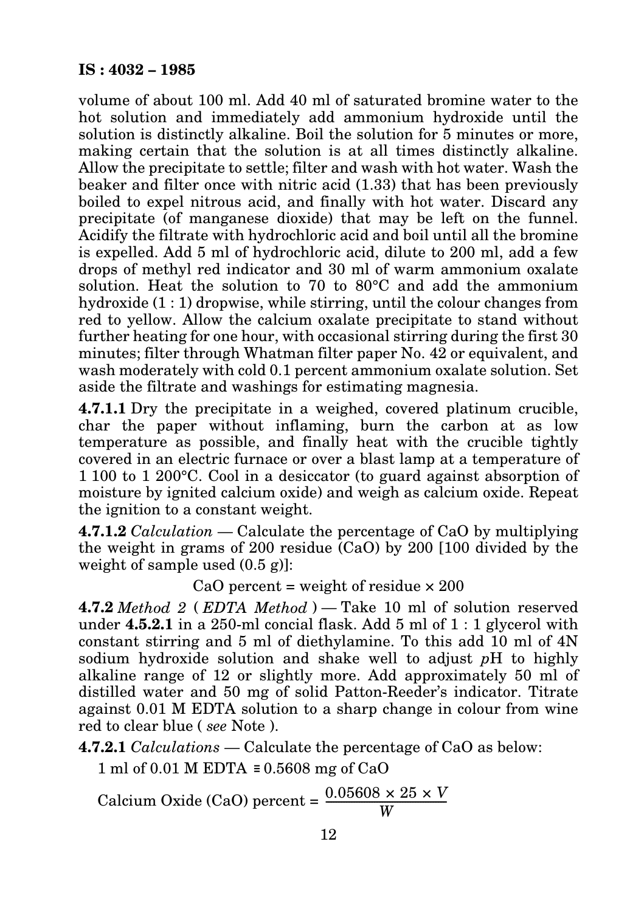volume of about 100 ml. Add 40 ml of saturated bromine water to the hot solution and immediately add ammonium hydroxide until the solution is distinctly alkaline. Boil the solution for 5 minutes or more, making certain that the solution is at all times distinctly alkaline. Allow the precipitate to settle; filter and wash with hot water. Wash the beaker and filter once with nitric acid (1.33) that has been previously boiled to expel nitrous acid, and finally with hot water. Discard any precipitate (of manganese dioxide) that may be left on the funnel. Acidify the filtrate with hydrochloric acid and boil until all the bromine is expelled. Add 5 ml of hydrochloric acid, dilute to 200 ml, add a few drops of methyl red indicator and 30 ml of warm ammonium oxalate solution. Heat the solution to 70 to 80°C and add the ammonium hydroxide  $(1:1)$  dropwise, while stirring, until the colour changes from red to yellow. Allow the calcium oxalate precipitate to stand without further heating for one hour, with occasional stirring during the first 30 minutes; filter through Whatman filter paper No. 42 or equivalent, and wash moderately with cold 0.1 percent ammonium oxalate solution. Set aside the filtrate and washings for estimating magnesia.

**4.7.1.1** Dry the precipitate in a weighed, covered platinum crucible, char the paper without inflaming, burn the carbon at as low temperature as possible, and finally heat with the crucible tightly covered in an electric furnace or over a blast lamp at a temperature of 1 100 to 1 200°C. Cool in a desiccator (to guard against absorption of moisture by ignited calcium oxide) and weigh as calcium oxide. Repeat the ignition to a constant weight.

**4.7.1.2** *Calculation* — Calculate the percentage of CaO by multiplying the weight in grams of 200 residue (CaO) by 200 [100 divided by the weight of sample used  $(0.5 \text{ g})$ :

CaO percent = weight of residue  $\times 200$ 

**4.7.2** *Method 2* ( *EDTA Method* ) — Take 10 ml of solution reserved under **4.5.2.1** in a 250-ml concial flask. Add 5 ml of 1 : 1 glycerol with constant stirring and 5 ml of diethylamine. To this add 10 ml of 4N sodium hydroxide solution and shake well to adjust *p*H to highly alkaline range of 12 or slightly more. Add approximately 50 ml of distilled water and 50 mg of solid Patton-Reeder's indicator. Titrate against 0.01 M EDTA solution to a sharp change in colour from wine red to clear blue ( *see* Note ).

**4.7.2.1** *Calculations* — Calculate the percentage of CaO as below:

1 ml of 0.01 M EDTA  $\equiv$  0.5608 mg of CaO

Calcium Oxide (CaO) percent =  $\frac{0.05608 \times 25 \times V}{W}$ *W* -----------------------------------------------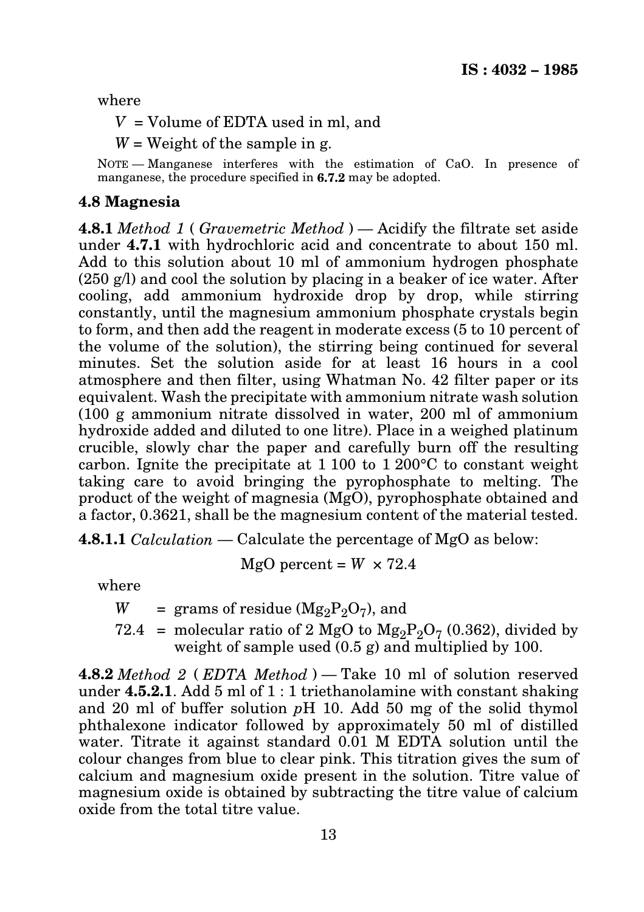where

*V* = Volume of EDTA used in ml, and

 $W = Weight of the sample in g.$ 

NOTE — Manganese interferes with the estimation of CaO. In presence of manganese, the procedure specified in **6.7.2** may be adopted.

#### **4.8 Magnesia**

**4.8.1** *Method 1* ( *Gravemetric Method* ) — Acidify the filtrate set aside under **4.7.1** with hydrochloric acid and concentrate to about 150 ml. Add to this solution about 10 ml of ammonium hydrogen phosphate  $(250 \text{ g/l})$  and cool the solution by placing in a beaker of ice water. After cooling, add ammonium hydroxide drop by drop, while stirring constantly, until the magnesium ammonium phosphate crystals begin to form, and then add the reagent in moderate excess (5 to 10 percent of the volume of the solution), the stirring being continued for several minutes. Set the solution aside for at least 16 hours in a cool atmosphere and then filter, using Whatman No. 42 filter paper or its equivalent. Wash the precipitate with ammonium nitrate wash solution (100 g ammonium nitrate dissolved in water, 200 ml of ammonium hydroxide added and diluted to one litre). Place in a weighed platinum crucible, slowly char the paper and carefully burn off the resulting carbon. Ignite the precipitate at 1 100 to 1 200°C to constant weight taking care to avoid bringing the pyrophosphate to melting. The product of the weight of magnesia (MgO), pyrophosphate obtained and a factor, 0.3621, shall be the magnesium content of the material tested.

**4.8.1.1** *Calculation* — Calculate the percentage of MgO as below:

MgO percent = 
$$
W \times 72.4
$$

where

- $W =$  grams of residue ( $Mg_2P_2O_7$ ), and
- 72.4 = molecular ratio of 2 MgO to  $Mg_2P_2O_7$  (0.362), divided by weight of sample used (0.5 g) and multiplied by 100.

**4.8.2** *Method 2* ( *EDTA Method* ) — Take 10 ml of solution reserved under **4.5.2.1**. Add 5 ml of 1 : 1 triethanolamine with constant shaking and 20 ml of buffer solution *p*H 10. Add 50 mg of the solid thymol phthalexone indicator followed by approximately 50 ml of distilled water. Titrate it against standard 0.01 M EDTA solution until the colour changes from blue to clear pink. This titration gives the sum of calcium and magnesium oxide present in the solution. Titre value of magnesium oxide is obtained by subtracting the titre value of calcium oxide from the total titre value.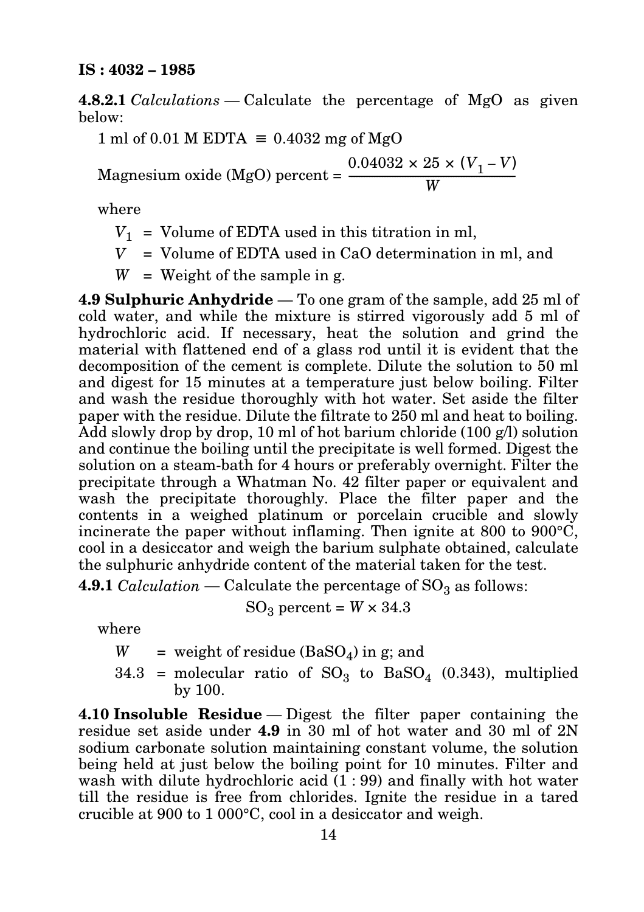**4.8.2.1** *Calculations* — Calculate the percentage of MgO as given below:

1 ml of 0.01 M EDTA  $\equiv$  0.4032 mg of MgO

Magnesium oxide (MgO) percent =  $\frac{0.04032 \times 25 \times (V_1 - V)}{W}$ <u>W</u>

where

 $V_1$  = Volume of EDTA used in this titration in ml,

*V* = Volume of EDTA used in CaO determination in ml, and

 $W =$  Weight of the sample in g.

**4.9 Sulphuric Anhydride** — To one gram of the sample, add 25 ml of cold water, and while the mixture is stirred vigorously add 5 ml of hydrochloric acid. If necessary, heat the solution and grind the material with flattened end of a glass rod until it is evident that the decomposition of the cement is complete. Dilute the solution to 50 ml and digest for 15 minutes at a temperature just below boiling. Filter and wash the residue thoroughly with hot water. Set aside the filter paper with the residue. Dilute the filtrate to 250 ml and heat to boiling. Add slowly drop by drop, 10 ml of hot barium chloride (100  $g/l$ ) solution and continue the boiling until the precipitate is well formed. Digest the solution on a steam-bath for 4 hours or preferably overnight. Filter the precipitate through a Whatman No. 42 filter paper or equivalent and wash the precipitate thoroughly. Place the filter paper and the contents in a weighed platinum or porcelain crucible and slowly incinerate the paper without inflaming. Then ignite at 800 to 900°C, cool in a desiccator and weigh the barium sulphate obtained, calculate the sulphuric anhydride content of the material taken for the test.

**4.9.1**  $\emph{Calculation}$  — Calculate the percentage of  $\text{SO}_3$  as follows:

 $\text{SO}_3$  percent =  $W \times 34.3$ 

where

 $W =$  weight of residue (BaSO<sub>4</sub>) in g; and

 $34.3$  = molecular ratio of  $SO_3$  to  $BaSO_4$  (0.343), multiplied by 100.

**4.10 Insoluble Residue** — Digest the filter paper containing the residue set aside under **4.9** in 30 ml of hot water and 30 ml of 2N sodium carbonate solution maintaining constant volume, the solution being held at just below the boiling point for 10 minutes. Filter and wash with dilute hydrochloric acid (1 : 99) and finally with hot water till the residue is free from chlorides. Ignite the residue in a tared crucible at 900 to 1 000°C, cool in a desiccator and weigh.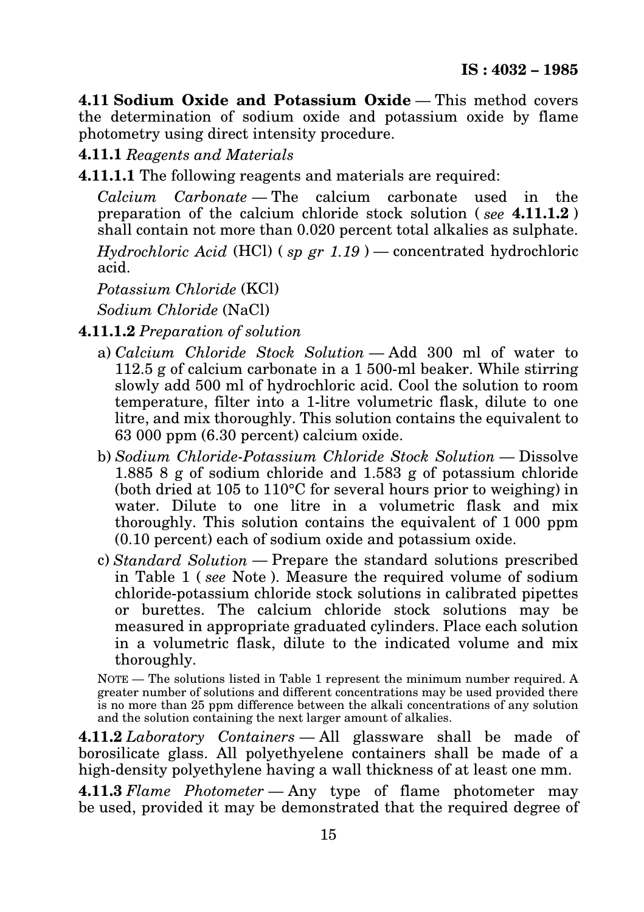**4.11 Sodium Oxide and Potassium Oxide** — This method covers the determination of sodium oxide and potassium oxide by flame photometry using direct intensity procedure.

**4.11.1** *Reagents and Materials*

**4.11.1.1** The following reagents and materials are required:

*Calcium Carbonate* — The calcium carbonate used in the preparation of the calcium chloride stock solution ( *see* **4.11.1.2** ) shall contain not more than 0.020 percent total alkalies as sulphate. *Hydrochloric Acid* (HCl) ( *sp gr 1.19* ) — concentrated hydrochloric acid.

*Potassium Chloride* (KCl)

*Sodium Chloride* (NaCl)

#### **4.11.1.2** *Preparation of solution*

- a) *Calcium Chloride Stock Solution* Add 300 ml of water to 112.5 g of calcium carbonate in a 1 500-ml beaker. While stirring slowly add 500 ml of hydrochloric acid. Cool the solution to room temperature, filter into a 1-litre volumetric flask, dilute to one litre, and mix thoroughly. This solution contains the equivalent to 63 000 ppm (6.30 percent) calcium oxide.
- b) *Sodium Chloride-Potassium Chloride Stock Solution* Dissolve 1.885 8 g of sodium chloride and 1.583 g of potassium chloride (both dried at 105 to 110°C for several hours prior to weighing) in water. Dilute to one litre in a volumetric flask and mix thoroughly. This solution contains the equivalent of 1 000 ppm (0.10 percent) each of sodium oxide and potassium oxide.
- c) *Standard Solution* Prepare the standard solutions prescribed in Table 1 ( *see* Note ). Measure the required volume of sodium chloride-potassium chloride stock solutions in calibrated pipettes or burettes. The calcium chloride stock solutions may be measured in appropriate graduated cylinders. Place each solution in a volumetric flask, dilute to the indicated volume and mix thoroughly.

NOTE — The solutions listed in Table 1 represent the minimum number required. A greater number of solutions and different concentrations may be used provided there is no more than 25 ppm difference between the alkali concentrations of any solution and the solution containing the next larger amount of alkalies.

**4.11.2** *Laboratory Containers* — All glassware shall be made of borosilicate glass. All polyethyelene containers shall be made of a high-density polyethylene having a wall thickness of at least one mm.

**4.11.3** *Flame Photometer* — Any type of flame photometer may be used, provided it may be demonstrated that the required degree of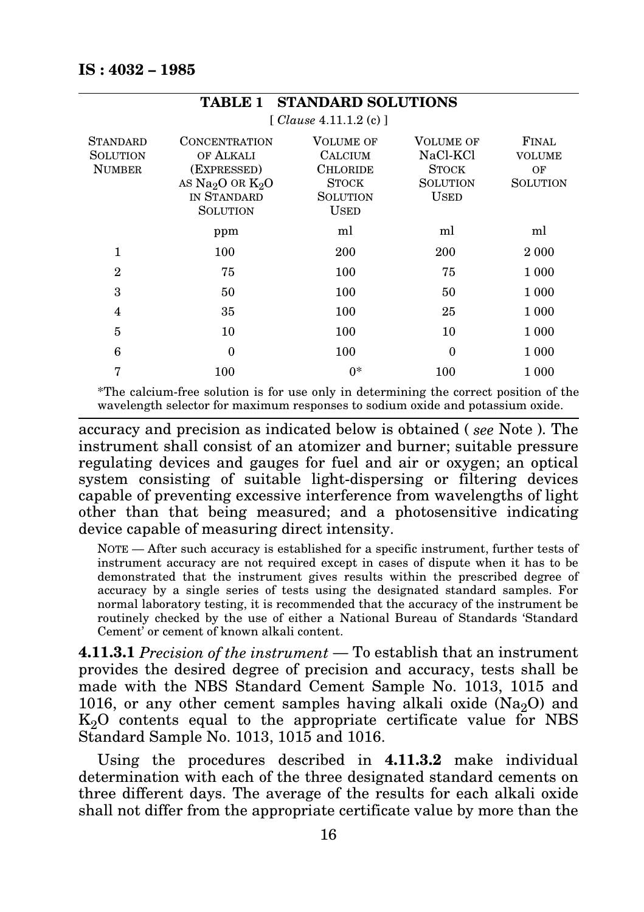|                                                     |                                                                                                                      | $\cup$ Ultuse +.11.1.4 (U)                                                                       |                                                                  |                                                 |
|-----------------------------------------------------|----------------------------------------------------------------------------------------------------------------------|--------------------------------------------------------------------------------------------------|------------------------------------------------------------------|-------------------------------------------------|
| <b>STANDARD</b><br><b>SOLUTION</b><br><b>NUMBER</b> | <b>CONCENTRATION</b><br>OF ALKALI<br>(EXPRESSED)<br>AS Na <sub>2</sub> O OR $K_2O$<br>IN STANDARD<br><b>SOLUTION</b> | VOLUME OF<br><b>CALCIUM</b><br><b>CHLORIDE</b><br><b>STOCK</b><br><b>SOLUTION</b><br><b>USED</b> | VOLUME OF<br>NaCl-KCl<br><b>STOCK</b><br>SOLUTION<br><b>USED</b> | FINAL<br><b>VOLUME</b><br>OF<br><b>SOLUTION</b> |
|                                                     | ppm                                                                                                                  | ml                                                                                               | ml                                                               | ml                                              |
| 1                                                   | 100                                                                                                                  | 200                                                                                              | 200                                                              | 2000                                            |
| $\overline{2}$                                      | 75                                                                                                                   | 100                                                                                              | 75                                                               | 1 0 0 0                                         |
| 3                                                   | 50                                                                                                                   | 100                                                                                              | 50                                                               | 1 0 0 0                                         |
| $\overline{4}$                                      | 35                                                                                                                   | 100                                                                                              | 25                                                               | 1 0 0 0                                         |
| 5                                                   | 10                                                                                                                   | 100                                                                                              | 10                                                               | 1 0 0 0                                         |
| 6                                                   | $\bf{0}$                                                                                                             | 100                                                                                              | $\theta$                                                         | 1 0 0 0                                         |
| 7                                                   | 100                                                                                                                  | $0^*$                                                                                            | 100                                                              | 1 0 0 0                                         |
|                                                     |                                                                                                                      |                                                                                                  |                                                                  |                                                 |

#### **TABLE 1 STANDARD SOLUTIONS**

 $[Cl_{a_1} \times 111126]$ 

\*The calcium-free solution is for use only in determining the correct position of the wavelength selector for maximum responses to sodium oxide and potassium oxide.

accuracy and precision as indicated below is obtained ( *see* Note ). The instrument shall consist of an atomizer and burner; suitable pressure regulating devices and gauges for fuel and air or oxygen; an optical system consisting of suitable light-dispersing or filtering devices capable of preventing excessive interference from wavelengths of light other than that being measured; and a photosensitive indicating device capable of measuring direct intensity.

NOTE — After such accuracy is established for a specific instrument, further tests of instrument accuracy are not required except in cases of dispute when it has to be demonstrated that the instrument gives results within the prescribed degree of accuracy by a single series of tests using the designated standard samples. For normal laboratory testing, it is recommended that the accuracy of the instrument be routinely checked by the use of either a National Bureau of Standards 'Standard Cement' or cement of known alkali content.

**4.11.3.1** *Precision of the instrument* — To establish that an instrument provides the desired degree of precision and accuracy, tests shall be made with the NBS Standard Cement Sample No. 1013, 1015 and 1016, or any other cement samples having alkali oxide  $(Na<sub>2</sub>O)$  and K2O contents equal to the appropriate certificate value for NBS Standard Sample No. 1013, 1015 and 1016.

Using the procedures described in **4.11.3.2** make individual determination with each of the three designated standard cements on three different days. The average of the results for each alkali oxide shall not differ from the appropriate certificate value by more than the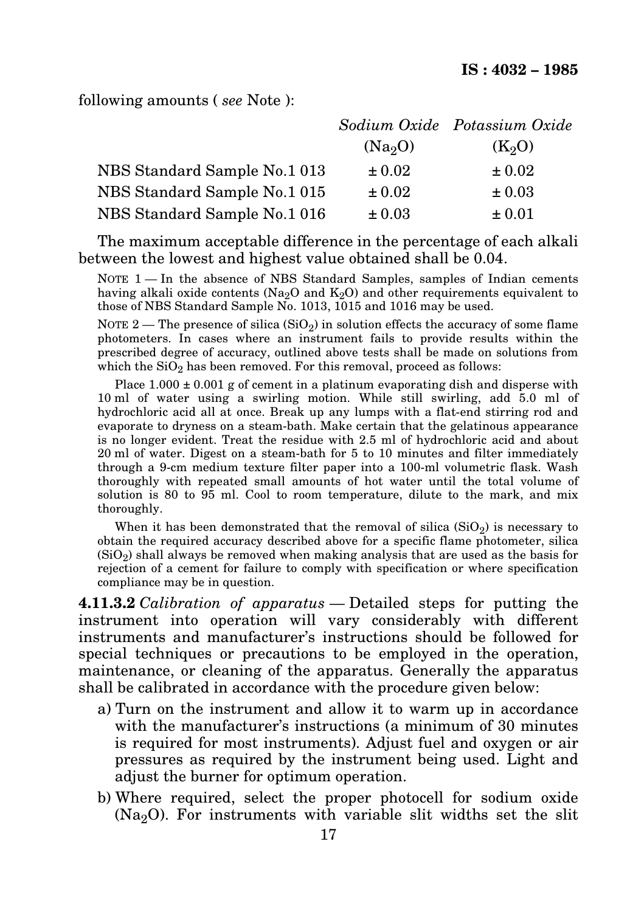following amounts ( *see* Note ):

|                              |                     | Sodium Oxide Potassium Oxide |
|------------------------------|---------------------|------------------------------|
|                              | (Na <sub>2</sub> O) | $(K_2O)$                     |
| NBS Standard Sample No.1 013 | $\pm 0.02$          | $\pm 0.02$                   |
| NBS Standard Sample No.1 015 | $\pm 0.02$          | $\pm 0.03$                   |
| NBS Standard Sample No.1 016 | $\pm 0.03$          | $\pm 0.01$                   |

The maximum acceptable difference in the percentage of each alkali between the lowest and highest value obtained shall be 0.04.

NOTE 1 — In the absence of NBS Standard Samples, samples of Indian cements having alkali oxide contents (Na<sub>2</sub>O and  $K_2O$ ) and other requirements equivalent to those of NBS Standard Sample No. 1013, 1015 and 1016 may be used.

NOTE  $2$  — The presence of silica (SiO<sub>2</sub>) in solution effects the accuracy of some flame photometers. In cases where an instrument fails to provide results within the prescribed degree of accuracy, outlined above tests shall be made on solutions from which the  $\mathrm{SiO}_2$  has been removed. For this removal, proceed as follows:

Place  $1.000 \pm 0.001$  g of cement in a platinum evaporating dish and disperse with 10 ml of water using a swirling motion. While still swirling, add 5.0 ml of hydrochloric acid all at once. Break up any lumps with a flat-end stirring rod and evaporate to dryness on a steam-bath. Make certain that the gelatinous appearance is no longer evident. Treat the residue with 2.5 ml of hydrochloric acid and about 20 ml of water. Digest on a steam-bath for 5 to 10 minutes and filter immediately through a 9-cm medium texture filter paper into a 100-ml volumetric flask. Wash thoroughly with repeated small amounts of hot water until the total volume of solution is 80 to 95 ml. Cool to room temperature, dilute to the mark, and mix thoroughly.

When it has been demonstrated that the removal of silica  $\operatorname{(SiO_2)}$  is necessary to obtain the required accuracy described above for a specific flame photometer, silica  $(\rm SiO_2)$  shall always be removed when making analysis that are used as the basis for rejection of a cement for failure to comply with specification or where specification compliance may be in question.

**4.11.3.2** *Calibration of apparatus* — Detailed steps for putting the instrument into operation will vary considerably with different instruments and manufacturer's instructions should be followed for special techniques or precautions to be employed in the operation, maintenance, or cleaning of the apparatus. Generally the apparatus shall be calibrated in accordance with the procedure given below:

- a) Turn on the instrument and allow it to warm up in accordance with the manufacturer's instructions (a minimum of 30 minutes is required for most instruments). Adjust fuel and oxygen or air pressures as required by the instrument being used. Light and adjust the burner for optimum operation.
- b) Where required, select the proper photocell for sodium oxide  $(Na<sub>2</sub>O)$ . For instruments with variable slit widths set the slit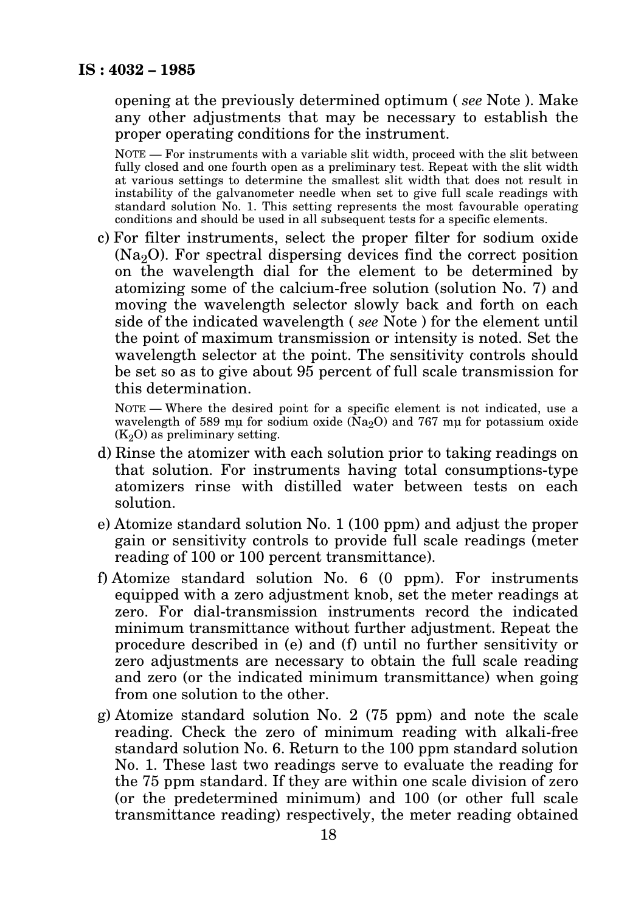opening at the previously determined optimum ( *see* Note ). Make any other adjustments that may be necessary to establish the proper operating conditions for the instrument.

NOTE — For instruments with a variable slit width, proceed with the slit between fully closed and one fourth open as a preliminary test. Repeat with the slit width at various settings to determine the smallest slit width that does not result in instability of the galvanometer needle when set to give full scale readings with standard solution No. 1. This setting represents the most favourable operating conditions and should be used in all subsequent tests for a specific elements.

c) For filter instruments, select the proper filter for sodium oxide  $(Na<sub>2</sub>O)$ . For spectral dispersing devices find the correct position on the wavelength dial for the element to be determined by atomizing some of the calcium-free solution (solution No. 7) and moving the wavelength selector slowly back and forth on each side of the indicated wavelength ( *see* Note ) for the element until the point of maximum transmission or intensity is noted. Set the wavelength selector at the point. The sensitivity controls should be set so as to give about 95 percent of full scale transmission for this determination.

NOTE — Where the desired point for a specific element is not indicated, use a wavelength of 589 mu for sodium oxide ( $\overline{N}a_2O$ ) and 767 mu for potassium oxide  $(K<sub>2</sub>O)$  as preliminary setting.

- d) Rinse the atomizer with each solution prior to taking readings on that solution. For instruments having total consumptions-type atomizers rinse with distilled water between tests on each solution.
- e) Atomize standard solution No. 1 (100 ppm) and adjust the proper gain or sensitivity controls to provide full scale readings (meter reading of 100 or 100 percent transmittance).
- f) Atomize standard solution No. 6 (0 ppm). For instruments equipped with a zero adjustment knob, set the meter readings at zero. For dial-transmission instruments record the indicated minimum transmittance without further adjustment. Repeat the procedure described in (e) and (f) until no further sensitivity or zero adjustments are necessary to obtain the full scale reading and zero (or the indicated minimum transmittance) when going from one solution to the other.
- g) Atomize standard solution No. 2 (75 ppm) and note the scale reading. Check the zero of minimum reading with alkali-free standard solution No. 6. Return to the 100 ppm standard solution No. 1. These last two readings serve to evaluate the reading for the 75 ppm standard. If they are within one scale division of zero (or the predetermined minimum) and 100 (or other full scale transmittance reading) respectively, the meter reading obtained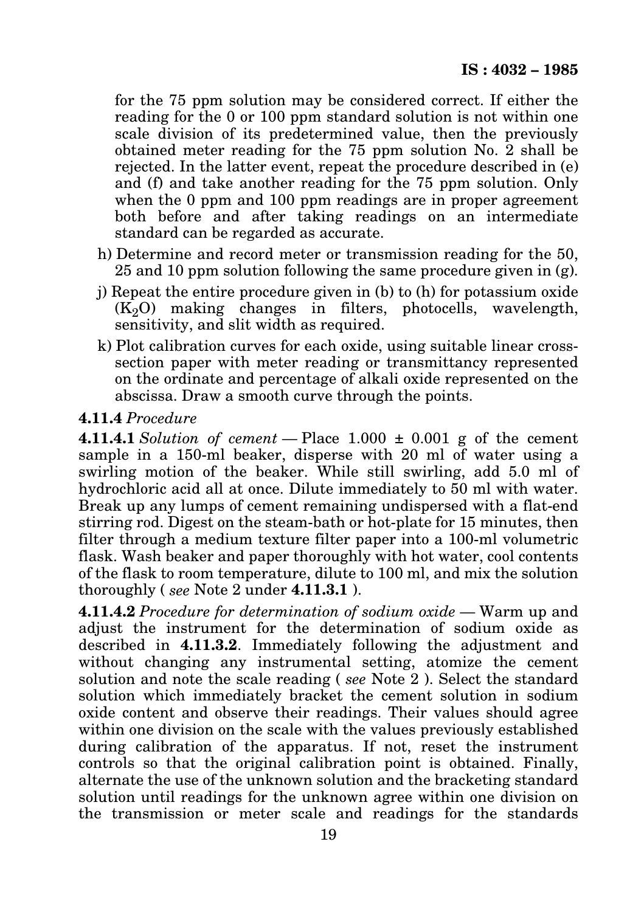for the 75 ppm solution may be considered correct. If either the reading for the 0 or 100 ppm standard solution is not within one scale division of its predetermined value, then the previously obtained meter reading for the 75 ppm solution No. 2 shall be rejected. In the latter event, repeat the procedure described in (e) and (f) and take another reading for the 75 ppm solution. Only when the 0 ppm and 100 ppm readings are in proper agreement both before and after taking readings on an intermediate standard can be regarded as accurate.

- h) Determine and record meter or transmission reading for the 50, 25 and 10 ppm solution following the same procedure given in (g).
- j) Repeat the entire procedure given in (b) to (h) for potassium oxide  $(K<sub>2</sub>O)$  making changes in filters, photocells, wavelength, sensitivity, and slit width as required.
- k) Plot calibration curves for each oxide, using suitable linear crosssection paper with meter reading or transmittancy represented on the ordinate and percentage of alkali oxide represented on the abscissa. Draw a smooth curve through the points.

#### **4.11.4** *Procedure*

**4.11.4.1** *Solution of cement* — Place  $1.000 \pm 0.001$  g of the cement sample in a 150-ml beaker, disperse with 20 ml of water using a swirling motion of the beaker. While still swirling, add 5.0 ml of hydrochloric acid all at once. Dilute immediately to 50 ml with water. Break up any lumps of cement remaining undispersed with a flat-end stirring rod. Digest on the steam-bath or hot-plate for 15 minutes, then filter through a medium texture filter paper into a 100-ml volumetric flask. Wash beaker and paper thoroughly with hot water, cool contents of the flask to room temperature, dilute to 100 ml, and mix the solution thoroughly ( *see* Note 2 under **4.11.3.1** ).

**4.11.4.2** *Procedure for determination of sodium oxide* — Warm up and adjust the instrument for the determination of sodium oxide as described in **4.11.3.2**. Immediately following the adjustment and without changing any instrumental setting, atomize the cement solution and note the scale reading ( *see* Note 2 ). Select the standard solution which immediately bracket the cement solution in sodium oxide content and observe their readings. Their values should agree within one division on the scale with the values previously established during calibration of the apparatus. If not, reset the instrument controls so that the original calibration point is obtained. Finally, alternate the use of the unknown solution and the bracketing standard solution until readings for the unknown agree within one division on the transmission or meter scale and readings for the standards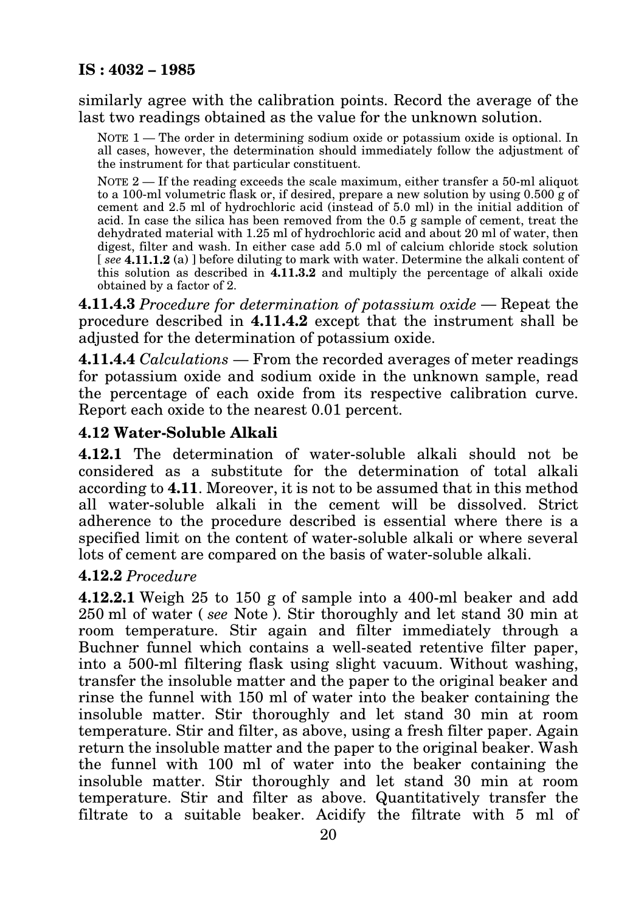similarly agree with the calibration points. Record the average of the last two readings obtained as the value for the unknown solution.

NOTE 1 — The order in determining sodium oxide or potassium oxide is optional. In all cases, however, the determination should immediately follow the adjustment of the instrument for that particular constituent.

NOTE 2 — If the reading exceeds the scale maximum, either transfer a 50-ml aliquot to a 100-ml volumetric flask or, if desired, prepare a new solution by using 0.500 g of cement and 2.5 ml of hydrochloric acid (instead of 5.0 ml) in the initial addition of acid. In case the silica has been removed from the 0.5 g sample of cement, treat the dehydrated material with 1.25 ml of hydrochloric acid and about 20 ml of water, then digest, filter and wash. In either case add 5.0 ml of calcium chloride stock solution [ *see* **4.11.1.2** (a) ] before diluting to mark with water. Determine the alkali content of this solution as described in **4.11.3.2** and multiply the percentage of alkali oxide obtained by a factor of 2.

**4.11.4.3** *Procedure for determination of potassium oxide* — Repeat the procedure described in **4.11.4.2** except that the instrument shall be adjusted for the determination of potassium oxide.

**4.11.4.4** *Calculations* — From the recorded averages of meter readings for potassium oxide and sodium oxide in the unknown sample, read the percentage of each oxide from its respective calibration curve. Report each oxide to the nearest 0.01 percent.

#### **4.12 Water-Soluble Alkali**

**4.12.1** The determination of water-soluble alkali should not be considered as a substitute for the determination of total alkali according to **4.11**. Moreover, it is not to be assumed that in this method all water-soluble alkali in the cement will be dissolved. Strict adherence to the procedure described is essential where there is a specified limit on the content of water-soluble alkali or where several lots of cement are compared on the basis of water-soluble alkali.

#### **4.12.2** *Procedure*

**4.12.2.1** Weigh 25 to 150 g of sample into a 400-ml beaker and add 250 ml of water ( *see* Note ). Stir thoroughly and let stand 30 min at room temperature. Stir again and filter immediately through a Buchner funnel which contains a well-seated retentive filter paper, into a 500-ml filtering flask using slight vacuum. Without washing, transfer the insoluble matter and the paper to the original beaker and rinse the funnel with 150 ml of water into the beaker containing the insoluble matter. Stir thoroughly and let stand 30 min at room temperature. Stir and filter, as above, using a fresh filter paper. Again return the insoluble matter and the paper to the original beaker. Wash the funnel with 100 ml of water into the beaker containing the insoluble matter. Stir thoroughly and let stand 30 min at room temperature. Stir and filter as above. Quantitatively transfer the filtrate to a suitable beaker. Acidify the filtrate with 5 ml of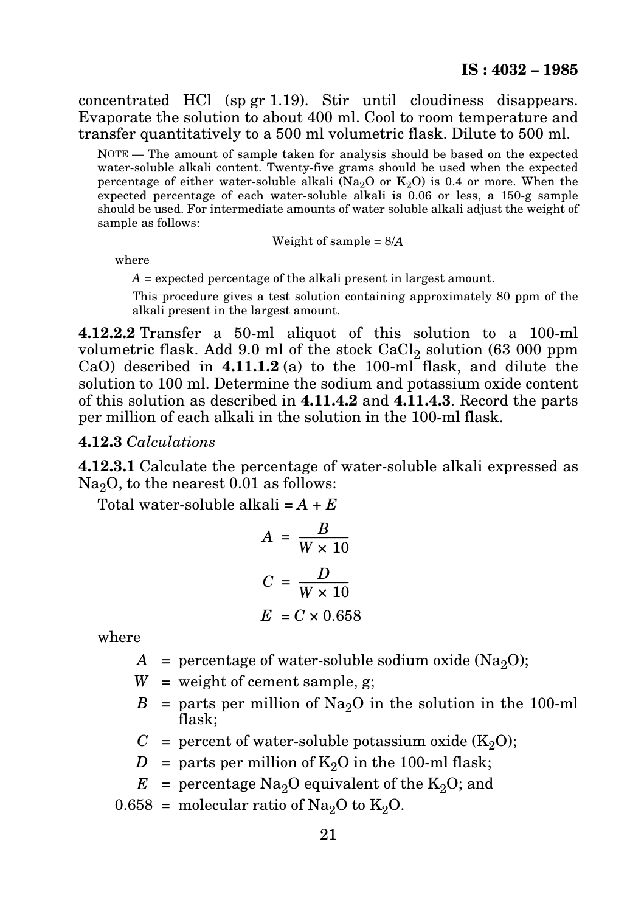concentrated HCl (sp gr 1.19). Stir until cloudiness disappears. Evaporate the solution to about 400 ml. Cool to room temperature and transfer quantitatively to a 500 ml volumetric flask. Dilute to 500 ml.

NOTE — The amount of sample taken for analysis should be based on the expected water-soluble alkali content. Twenty-five grams should be used when the expected percentage of either water-soluble alkali (Na<sub>2</sub>O or K<sub>2</sub>O) is 0.4 or more. When the expected percentage of each water-soluble alkali is  $0.06$  or less, a 150-g sample should be used. For intermediate amounts of water soluble alkali adjust the weight of sample as follows:

Weight of sample = 
$$
8/A
$$

where

*A* = expected percentage of the alkali present in largest amount.

This procedure gives a test solution containing approximately 80 ppm of the alkali present in the largest amount.

**4.12.2.2** Transfer a 50-ml aliquot of this solution to a 100-ml volumetric flask. Add 9.0 ml of the stock  $\operatorname{CaCl}_2$  solution (63 000 ppm CaO) described in **4.11.1.2** (a) to the 100-ml flask, and dilute the solution to 100 ml. Determine the sodium and potassium oxide content of this solution as described in **4.11.4.2** and **4.11.4.3**. Record the parts per million of each alkali in the solution in the 100-ml flask.

#### **4.12.3** *Calculations*

**4.12.3.1** Calculate the percentage of water-soluble alkali expressed as Na<sub>2</sub>O, to the nearest  $0.01$  as follows:

Total water-soluble alkali = *A* + *E*

$$
A = \frac{B}{W \times 10}
$$

$$
C = \frac{D}{W \times 10}
$$

$$
E = C \times 0.658
$$

where

- *A* = percentage of water-soluble sodium oxide (Na<sub>2</sub>O);
- $W =$  weight of cement sample, g;
- $B =$  parts per million of Na<sub>2</sub>O in the solution in the 100-ml flask;
- *C* = percent of water-soluble potassium oxide  $(K_2O)$ ;
- $D =$  parts per million of  $K_2O$  in the 100-ml flask;
- $E$  = percentage Na<sub>2</sub>O equivalent of the K<sub>2</sub>O; and
- $0.658$  = molecular ratio of Na<sub>2</sub>O to K<sub>2</sub>O.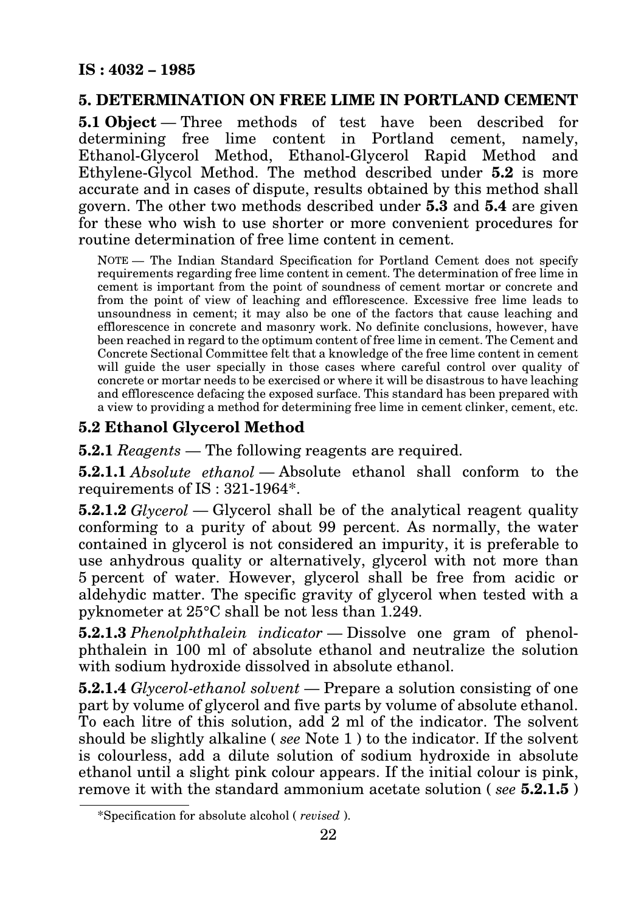#### **5. DETERMINATION ON FREE LIME IN PORTLAND CEMENT**

**5.1 Object** — Three methods of test have been described for determining free lime content in Portland cement, namely, Ethanol-Glycerol Method, Ethanol-Glycerol Rapid Method and Ethylene-Glycol Method. The method described under **5.2** is more accurate and in cases of dispute, results obtained by this method shall govern. The other two methods described under **5.3** and **5.4** are given for these who wish to use shorter or more convenient procedures for routine determination of free lime content in cement.

NOTE — The Indian Standard Specification for Portland Cement does not specify requirements regarding free lime content in cement. The determination of free lime in cement is important from the point of soundness of cement mortar or concrete and from the point of view of leaching and efflorescence. Excessive free lime leads to unsoundness in cement; it may also be one of the factors that cause leaching and efflorescence in concrete and masonry work. No definite conclusions, however, have been reached in regard to the optimum content of free lime in cement. The Cement and Concrete Sectional Committee felt that a knowledge of the free lime content in cement will guide the user specially in those cases where careful control over quality of concrete or mortar needs to be exercised or where it will be disastrous to have leaching and efflorescence defacing the exposed surface. This standard has been prepared with a view to providing a method for determining free lime in cement clinker, cement, etc.

#### **5.2 Ethanol Glycerol Method**

**5.2.1** *Reagents* — The following reagents are required.

**5.2.1.1** *Absolute ethanol* — Absolute ethanol shall conform to the requirements of IS : 321-1964\*.

**5.2.1.2** *Glycerol* — Glycerol shall be of the analytical reagent quality conforming to a purity of about 99 percent. As normally, the water contained in glycerol is not considered an impurity, it is preferable to use anhydrous quality or alternatively, glycerol with not more than 5 percent of water. However, glycerol shall be free from acidic or aldehydic matter. The specific gravity of glycerol when tested with a pyknometer at 25°C shall be not less than 1.249.

**5.2.1.3** *Phenolphthalein indicator* — Dissolve one gram of phenolphthalein in 100 ml of absolute ethanol and neutralize the solution with sodium hydroxide dissolved in absolute ethanol.

**5.2.1.4** *Glycerol-ethanol solvent* — Prepare a solution consisting of one part by volume of glycerol and five parts by volume of absolute ethanol. To each litre of this solution, add 2 ml of the indicator. The solvent should be slightly alkaline ( *see* Note 1 ) to the indicator. If the solvent is colourless, add a dilute solution of sodium hydroxide in absolute ethanol until a slight pink colour appears. If the initial colour is pink, remove it with the standard ammonium acetate solution ( *see* **5.2.1.5** )

<sup>\*</sup>Specification for absolute alcohol ( *revised* ).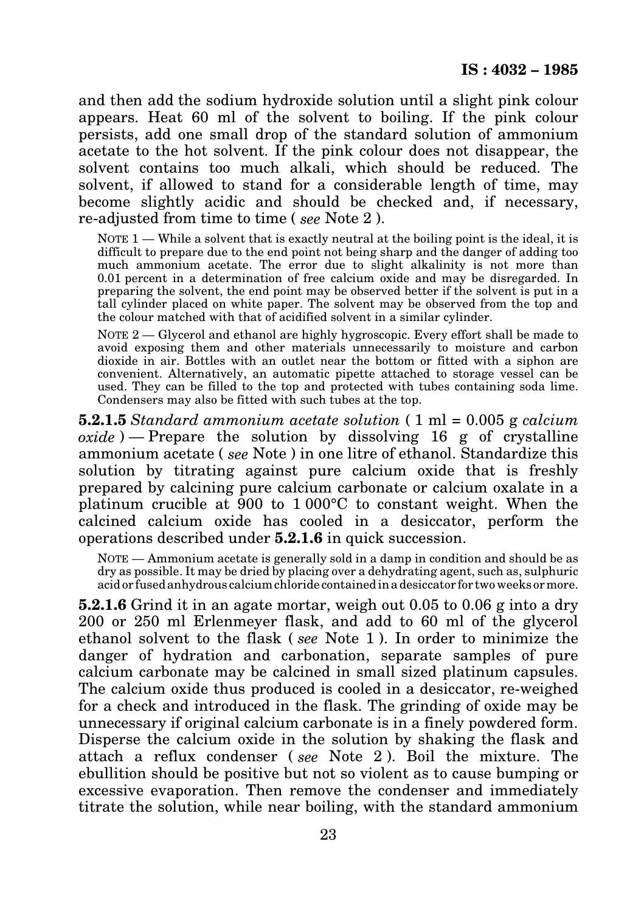and then add the sodium hydroxide solution until a slight pink colour appears. Heat 60 ml of the solvent to boiling. If the pink colour persists, add one small drop of the standard solution of ammonium acetate to the hot solvent. If the pink colour does not disappear, the solvent contains too much alkali, which should be reduced. The solvent, if allowed to stand for a considerable length of time, may become slightly acidic and should be checked and, if necessary, re-adjusted from time to time ( *see* Note 2 ).

NOTE  $1$  — While a solvent that is exactly neutral at the boiling point is the ideal, it is difficult to prepare due to the end point not being sharp and the danger of adding too much ammonium acetate. The error due to slight alkalinity is not more than 0.01 percent in a determination of free calcium oxide and may be disregarded. In preparing the solvent, the end point may be observed better if the solvent is put in a tall cylinder placed on white paper. The solvent may be observed from the top and the colour matched with that of acidified solvent in a similar cylinder.

NOTE 2 — Glycerol and ethanol are highly hygroscopic. Every effort shall be made to avoid exposing them and other materials unnecessarily to moisture and carbon dioxide in air. Bottles with an outlet near the bottom or fitted with a siphon are convenient. Alternatively, an automatic pipette attached to storage vessel can be used. They can be filled to the top and protected with tubes containing soda lime. Condensers may also be fitted with such tubes at the top.

**5.2.1.5** *Standard ammonium acetate solution* ( 1 ml = 0.005 g *calcium oxide* ) — Prepare the solution by dissolving 16 g of crystalline ammonium acetate ( *see* Note ) in one litre of ethanol. Standardize this solution by titrating against pure calcium oxide that is freshly prepared by calcining pure calcium carbonate or calcium oxalate in a platinum crucible at 900 to 1 000°C to constant weight. When the calcined calcium oxide has cooled in a desiccator, perform the operations described under **5.2.1.6** in quick succession.

NOTE — Ammonium acetate is generally sold in a damp in condition and should be as dry as possible. It may be dried by placing over a dehydrating agent, such as, sulphuric acid or fused anhydrous calcium chloride contained in a desiccator for two weeks or more.

**5.2.1.6** Grind it in an agate mortar, weigh out 0.05 to 0.06 g into a dry 200 or 250 ml Erlenmeyer flask, and add to 60 ml of the glycerol ethanol solvent to the flask ( *see* Note 1 ). In order to minimize the danger of hydration and carbonation, separate samples of pure calcium carbonate may be calcined in small sized platinum capsules. The calcium oxide thus produced is cooled in a desiccator, re-weighed for a check and introduced in the flask. The grinding of oxide may be unnecessary if original calcium carbonate is in a finely powdered form. Disperse the calcium oxide in the solution by shaking the flask and attach a reflux condenser ( *see* Note 2 ). Boil the mixture. The ebullition should be positive but not so violent as to cause bumping or excessive evaporation. Then remove the condenser and immediately titrate the solution, while near boiling, with the standard ammonium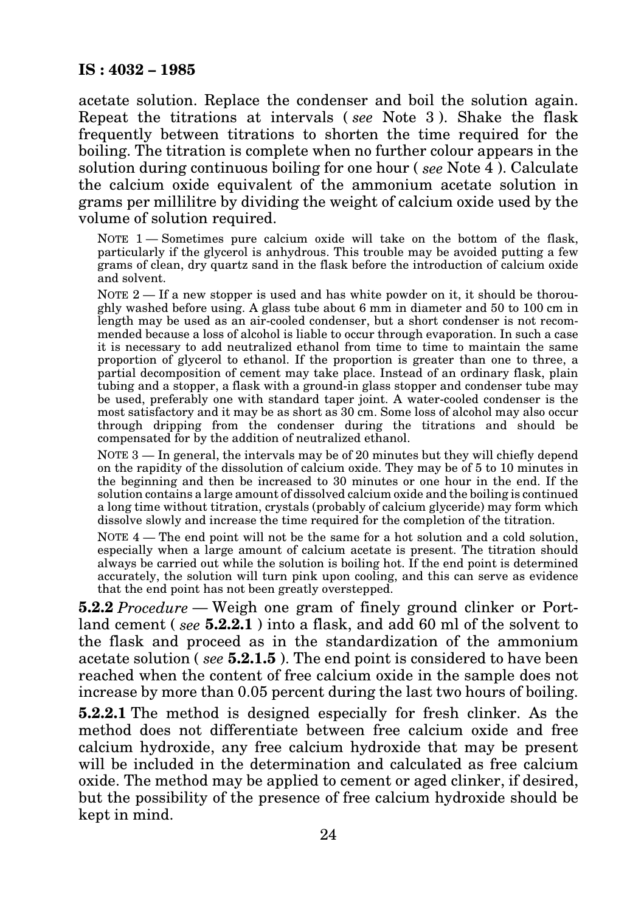acetate solution. Replace the condenser and boil the solution again. Repeat the titrations at intervals ( *see* Note 3 ). Shake the flask frequently between titrations to shorten the time required for the boiling. The titration is complete when no further colour appears in the solution during continuous boiling for one hour ( *see* Note 4 ). Calculate the calcium oxide equivalent of the ammonium acetate solution in grams per millilitre by dividing the weight of calcium oxide used by the volume of solution required.

NOTE 1 — Sometimes pure calcium oxide will take on the bottom of the flask, particularly if the glycerol is anhydrous. This trouble may be avoided putting a few grams of clean, dry quartz sand in the flask before the introduction of calcium oxide and solvent.

NOTE  $2 - If$  a new stopper is used and has white powder on it, it should be thoroughly washed before using. A glass tube about 6 mm in diameter and 50 to 100 cm in length may be used as an air-cooled condenser, but a short condenser is not recommended because a loss of alcohol is liable to occur through evaporation. In such a case it is necessary to add neutralized ethanol from time to time to maintain the same proportion of glycerol to ethanol. If the proportion is greater than one to three, a partial decomposition of cement may take place. Instead of an ordinary flask, plain tubing and a stopper, a flask with a ground-in glass stopper and condenser tube may be used, preferably one with standard taper joint. A water-cooled condenser is the most satisfactory and it may be as short as 30 cm. Some loss of alcohol may also occur through dripping from the condenser during the titrations and should be compensated for by the addition of neutralized ethanol.

NOTE 3 — In general, the intervals may be of 20 minutes but they will chiefly depend on the rapidity of the dissolution of calcium oxide. They may be of 5 to 10 minutes in the beginning and then be increased to 30 minutes or one hour in the end. If the solution contains a large amount of dissolved calcium oxide and the boiling is continued a long time without titration, crystals (probably of calcium glyceride) may form which dissolve slowly and increase the time required for the completion of the titration.

NOTE 4 — The end point will not be the same for a hot solution and a cold solution, especially when a large amount of calcium acetate is present. The titration should always be carried out while the solution is boiling hot. If the end point is determined accurately, the solution will turn pink upon cooling, and this can serve as evidence that the end point has not been greatly overstepped.

**5.2.2** *Procedure* — Weigh one gram of finely ground clinker or Portland cement ( *see* **5.2.2.1** ) into a flask, and add 60 ml of the solvent to the flask and proceed as in the standardization of the ammonium acetate solution ( *see* **5.2.1.5** ). The end point is considered to have been reached when the content of free calcium oxide in the sample does not increase by more than 0.05 percent during the last two hours of boiling.

**5.2.2.1** The method is designed especially for fresh clinker. As the method does not differentiate between free calcium oxide and free calcium hydroxide, any free calcium hydroxide that may be present will be included in the determination and calculated as free calcium oxide. The method may be applied to cement or aged clinker, if desired, but the possibility of the presence of free calcium hydroxide should be kept in mind.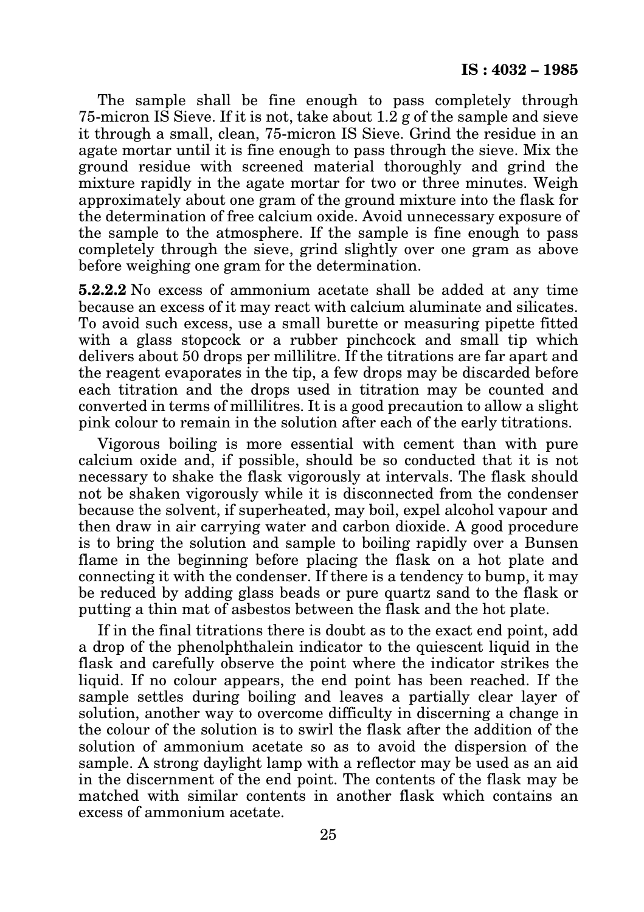The sample shall be fine enough to pass completely through 75-micron IS Sieve. If it is not, take about  $1.\overline{2}$  g of the sample and sieve it through a small, clean, 75-micron IS Sieve. Grind the residue in an agate mortar until it is fine enough to pass through the sieve. Mix the ground residue with screened material thoroughly and grind the mixture rapidly in the agate mortar for two or three minutes. Weigh approximately about one gram of the ground mixture into the flask for the determination of free calcium oxide. Avoid unnecessary exposure of the sample to the atmosphere. If the sample is fine enough to pass completely through the sieve, grind slightly over one gram as above before weighing one gram for the determination.

**5.2.2.2** No excess of ammonium acetate shall be added at any time because an excess of it may react with calcium aluminate and silicates. To avoid such excess, use a small burette or measuring pipette fitted with a glass stopcock or a rubber pinchcock and small tip which delivers about 50 drops per millilitre. If the titrations are far apart and the reagent evaporates in the tip, a few drops may be discarded before each titration and the drops used in titration may be counted and converted in terms of millilitres. It is a good precaution to allow a slight pink colour to remain in the solution after each of the early titrations.

Vigorous boiling is more essential with cement than with pure calcium oxide and, if possible, should be so conducted that it is not necessary to shake the flask vigorously at intervals. The flask should not be shaken vigorously while it is disconnected from the condenser because the solvent, if superheated, may boil, expel alcohol vapour and then draw in air carrying water and carbon dioxide. A good procedure is to bring the solution and sample to boiling rapidly over a Bunsen flame in the beginning before placing the flask on a hot plate and connecting it with the condenser. If there is a tendency to bump, it may be reduced by adding glass beads or pure quartz sand to the flask or putting a thin mat of asbestos between the flask and the hot plate.

If in the final titrations there is doubt as to the exact end point, add a drop of the phenolphthalein indicator to the quiescent liquid in the flask and carefully observe the point where the indicator strikes the liquid. If no colour appears, the end point has been reached. If the sample settles during boiling and leaves a partially clear layer of solution, another way to overcome difficulty in discerning a change in the colour of the solution is to swirl the flask after the addition of the solution of ammonium acetate so as to avoid the dispersion of the sample. A strong daylight lamp with a reflector may be used as an aid in the discernment of the end point. The contents of the flask may be matched with similar contents in another flask which contains an excess of ammonium acetate.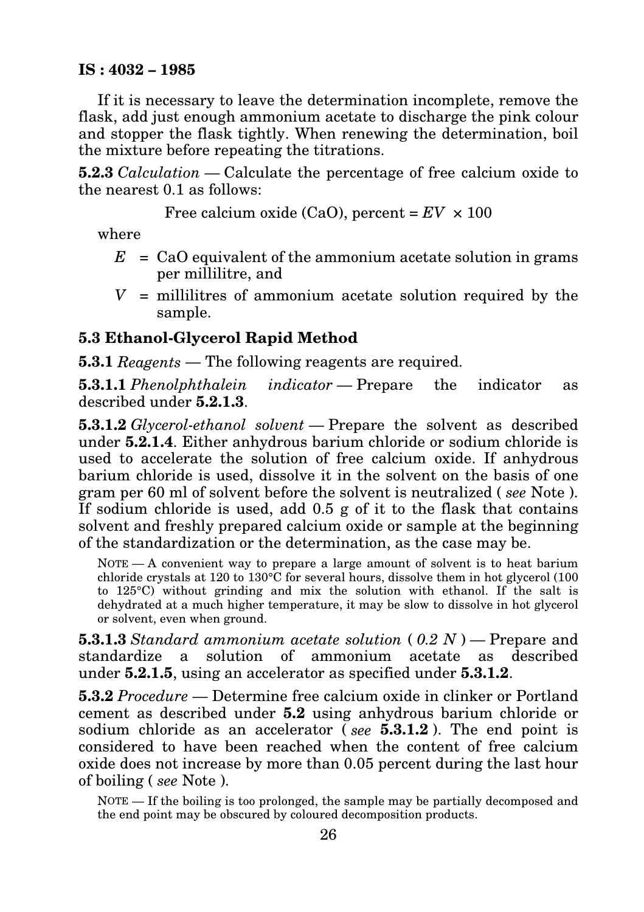If it is necessary to leave the determination incomplete, remove the flask, add just enough ammonium acetate to discharge the pink colour and stopper the flask tightly. When renewing the determination, boil the mixture before repeating the titrations.

**5.2.3** *Calculation* — Calculate the percentage of free calcium oxide to the nearest 0.1 as follows:

Free calcium oxide (CaO), percent =  $EV \times 100$ 

where

- $E = \text{CaO}$  equivalent of the ammonium acetate solution in grams per millilitre, and
- $V =$  millilitres of ammonium acetate solution required by the sample.

#### **5.3 Ethanol-Glycerol Rapid Method**

**5.3.1** *Reagents* — The following reagents are required.

**5.3.1.1** *Phenolphthalein indicator* — Prepare the indicator as described under **5.2.1.3**.

**5.3.1.2** *Glycerol-ethanol solvent* — Prepare the solvent as described under **5.2.1.4**. Either anhydrous barium chloride or sodium chloride is used to accelerate the solution of free calcium oxide. If anhydrous barium chloride is used, dissolve it in the solvent on the basis of one gram per 60 ml of solvent before the solvent is neutralized ( *see* Note ). If sodium chloride is used, add 0.5 g of it to the flask that contains solvent and freshly prepared calcium oxide or sample at the beginning of the standardization or the determination, as the case may be.

NOTE — A convenient way to prepare a large amount of solvent is to heat barium chloride crystals at 120 to 130°C for several hours, dissolve them in hot glycerol (100 to 125°C) without grinding and mix the solution with ethanol. If the salt is dehydrated at a much higher temperature, it may be slow to dissolve in hot glycerol or solvent, even when ground.

**5.3.1.3** *Standard ammonium acetate solution*  $(0.2 N)$  — Prepare and standardize a solution of ammonium acetate as described standardize a solution of ammonium acetate as described under **5.2.1.5**, using an accelerator as specified under **5.3.1.2**.

**5.3.2** *Procedure* — Determine free calcium oxide in clinker or Portland cement as described under **5.2** using anhydrous barium chloride or sodium chloride as an accelerator ( *see* **5.3.1.2** ). The end point is considered to have been reached when the content of free calcium oxide does not increase by more than 0.05 percent during the last hour of boiling ( *see* Note ).

NOTE — If the boiling is too prolonged, the sample may be partially decomposed and the end point may be obscured by coloured decomposition products.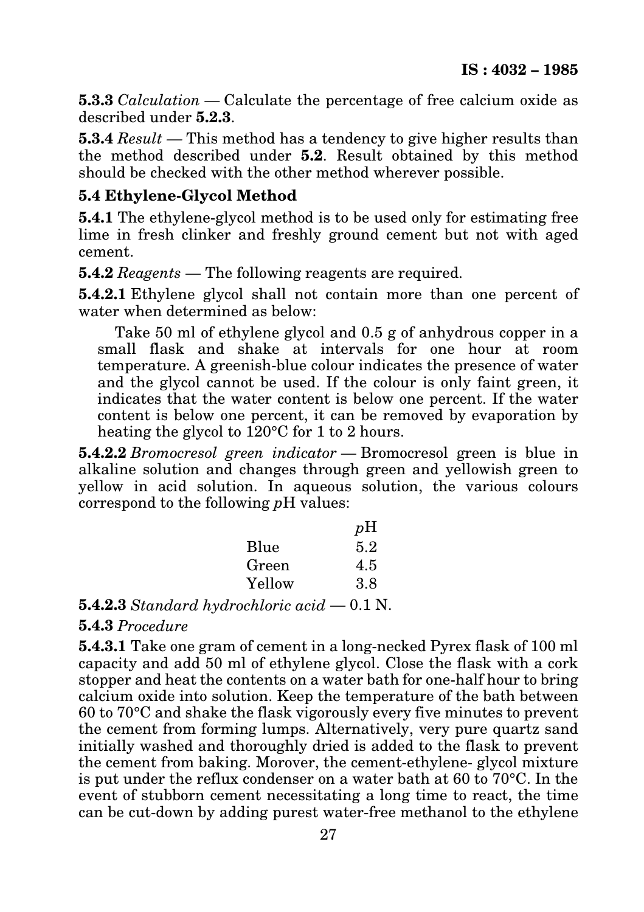**5.3.3** *Calculation* — Calculate the percentage of free calcium oxide as described under **5.2.3**.

**5.3.4** *Result —* This method has a tendency to give higher results than the method described under **5.2**. Result obtained by this method should be checked with the other method wherever possible.

#### **5.4 Ethylene-Glycol Method**

**5.4.1** The ethylene-glycol method is to be used only for estimating free lime in fresh clinker and freshly ground cement but not with aged cement.

**5.4.2** *Reagents* — The following reagents are required.

**5.4.2.1** Ethylene glycol shall not contain more than one percent of water when determined as below:

Take 50 ml of ethylene glycol and 0.5 g of anhydrous copper in a small flask and shake at intervals for one hour at room temperature. A greenish-blue colour indicates the presence of water and the glycol cannot be used. If the colour is only faint green, it indicates that the water content is below one percent. If the water content is below one percent, it can be removed by evaporation by heating the glycol to 120°C for 1 to 2 hours.

**5.4.2.2** *Bromocresol green indicator* — Bromocresol green is blue in alkaline solution and changes through green and yellowish green to yellow in acid solution. In aqueous solution, the various colours correspond to the following *p*H values:

|        | pH  |
|--------|-----|
| Blue   | 5.2 |
| Green  | 4.5 |
| Yellow | 3.8 |

**5.4.2.3** *Standard hydrochloric acid* — 0.1 N.

#### **5.4.3** *Procedure*

**5.4.3.1** Take one gram of cement in a long-necked Pyrex flask of 100 ml capacity and add 50 ml of ethylene glycol. Close the flask with a cork stopper and heat the contents on a water bath for one-half hour to bring calcium oxide into solution. Keep the temperature of the bath between 60 to 70°C and shake the flask vigorously every five minutes to prevent the cement from forming lumps. Alternatively, very pure quartz sand initially washed and thoroughly dried is added to the flask to prevent the cement from baking. Morover, the cement-ethylene- glycol mixture is put under the reflux condenser on a water bath at 60 to 70°C. In the event of stubborn cement necessitating a long time to react, the time can be cut-down by adding purest water-free methanol to the ethylene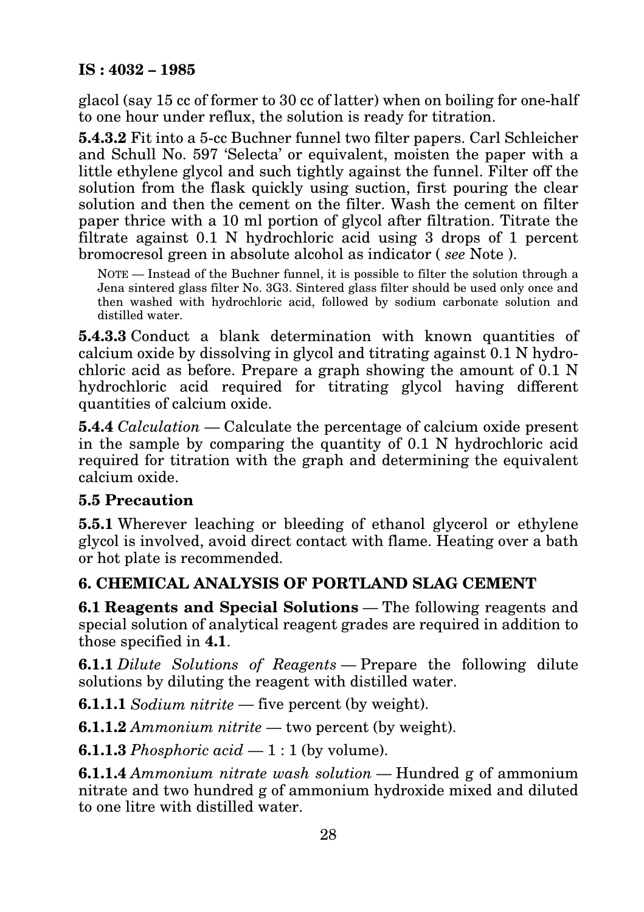glacol (say 15 cc of former to 30 cc of latter) when on boiling for one-half to one hour under reflux, the solution is ready for titration.

**5.4.3.2** Fit into a 5-cc Buchner funnel two filter papers. Carl Schleicher and Schull No. 597 'Selecta' or equivalent, moisten the paper with a little ethylene glycol and such tightly against the funnel. Filter off the solution from the flask quickly using suction, first pouring the clear solution and then the cement on the filter. Wash the cement on filter paper thrice with a 10 ml portion of glycol after filtration. Titrate the filtrate against 0.1 N hydrochloric acid using 3 drops of 1 percent bromocresol green in absolute alcohol as indicator ( *see* Note ).

NOTE — Instead of the Buchner funnel, it is possible to filter the solution through a Jena sintered glass filter No. 3G3. Sintered glass filter should be used only once and then washed with hydrochloric acid, followed by sodium carbonate solution and distilled water.

**5.4.3.3** Conduct a blank determination with known quantities of calcium oxide by dissolving in glycol and titrating against 0.1 N hydrochloric acid as before. Prepare a graph showing the amount of 0.1 N hydrochloric acid required for titrating glycol having different quantities of calcium oxide.

**5.4.4** *Calculation* — Calculate the percentage of calcium oxide present in the sample by comparing the quantity of 0.1 N hydrochloric acid required for titration with the graph and determining the equivalent calcium oxide.

#### **5.5 Precaution**

**5.5.1** Wherever leaching or bleeding of ethanol glycerol or ethylene glycol is involved, avoid direct contact with flame. Heating over a bath or hot plate is recommended.

#### **6. CHEMICAL ANALYSIS OF PORTLAND SLAG CEMENT**

**6.1 Reagents and Special Solutions** — The following reagents and special solution of analytical reagent grades are required in addition to those specified in **4.1**.

**6.1.1** *Dilute Solutions of Reagents* — Prepare the following dilute solutions by diluting the reagent with distilled water.

**6.1.1.1** *Sodium nitrite* — five percent (by weight).

**6.1.1.2** *Ammonium nitrite* — two percent (by weight).

**6.1.1.3** *Phosphoric acid*  $-1$  : 1 (by volume).

**6.1.1.4** *Ammonium nitrate wash solution* — Hundred g of ammonium nitrate and two hundred g of ammonium hydroxide mixed and diluted to one litre with distilled water.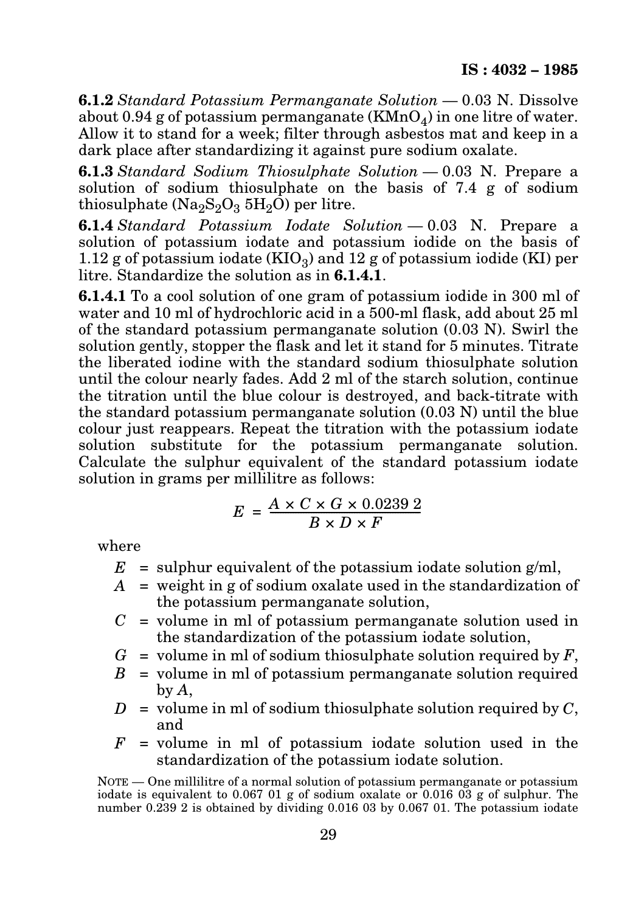**6.1.2** *Standard Potassium Permanganate Solution* — 0.03 N. Dissolve about 0.94 g of potassium permanganate (KMnO<sub>4</sub>) in one litre of water. Allow it to stand for a week; filter through asbestos mat and keep in a dark place after standardizing it against pure sodium oxalate.

**6.1.3** *Standard Sodium Thiosulphate Solution* — 0.03 N. Prepare a solution of sodium thiosulphate on the basis of 7.4 g of sodium thiosulphate ( $\rm Na_2S_2O_3$  5H<sub>2</sub>O) per litre.

**6.1.4** *Standard Potassium Iodate Solution* — 0.03 N. Prepare a solution of potassium iodate and potassium iodide on the basis of  $1.12$  g of potassium iodate (KIO<sub>3</sub>) and  $12$  g of potassium iodide (KI) per litre. Standardize the solution as in **6.1.4.1**.

**6.1.4.1** To a cool solution of one gram of potassium iodide in 300 ml of water and 10 ml of hydrochloric acid in a 500-ml flask, add about 25 ml of the standard potassium permanganate solution (0.03 N). Swirl the solution gently, stopper the flask and let it stand for 5 minutes. Titrate the liberated iodine with the standard sodium thiosulphate solution until the colour nearly fades. Add 2 ml of the starch solution, continue the titration until the blue colour is destroyed, and back-titrate with the standard potassium permanganate solution (0.03 N) until the blue colour just reappears. Repeat the titration with the potassium iodate solution substitute for the potassium permanganate solution. Calculate the sulphur equivalent of the standard potassium iodate solution in grams per millilitre as follows:

$$
E = \frac{A \times C \times G \times 0.02392}{B \times D \times F}
$$

where

- $E$  = sulphur equivalent of the potassium iodate solution  $g/ml$ ,
- *A* = weight in g of sodium oxalate used in the standardization of the potassium permanganate solution,
- $C =$  volume in ml of potassium permanganate solution used in the standardization of the potassium iodate solution,
- $G =$  volume in ml of sodium thiosulphate solution required by  $F$ ,
- $B =$  volume in ml of potassium permanganate solution required by *A*,
- $D =$  volume in ml of sodium thiosulphate solution required by  $C$ , and
- $F =$  volume in ml of potassium iodate solution used in the standardization of the potassium iodate solution.

NOTE — One millilitre of a normal solution of potassium permanganate or potassium iodate is equivalent to 0.067 01 g of sodium oxalate or  $0.016$  03 g of sulphur. The number 0.239 2 is obtained by dividing 0.016 03 by 0.067 01. The potassium iodate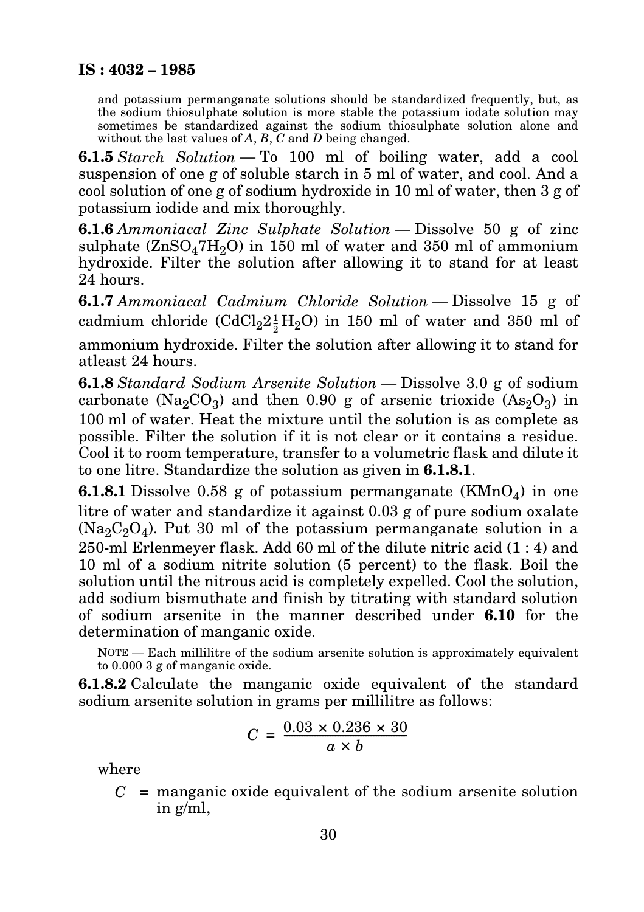and potassium permanganate solutions should be standardized frequently, but, as the sodium thiosulphate solution is more stable the potassium iodate solution may sometimes be standardized against the sodium thiosulphate solution alone and without the last values of  $A$ ,  $B$ ,  $C$  and  $D$  being changed.

**6.1.5** *Starch Solution* — To 100 ml of boiling water, add a cool suspension of one g of soluble starch in 5 ml of water, and cool. And a cool solution of one g of sodium hydroxide in 10 ml of water, then 3 g of potassium iodide and mix thoroughly.

**6.1.6** *Ammoniacal Zinc Sulphate Solution* — Dissolve 50 g of zinc sulphate  $(ZnSO<sub>4</sub>7H<sub>2</sub>O)$  in 150 ml of water and 350 ml of ammonium hydroxide. Filter the solution after allowing it to stand for at least 24 hours.

**6.1.7** *Ammoniacal Cadmium Chloride Solution* — Dissolve 15 g of cadmium chloride (CdCl $_22\frac{1}{2}\text{H}_2\text{O}$ ) in 150 ml of water and 350 ml of

ammonium hydroxide. Filter the solution after allowing it to stand for atleast 24 hours.

**6.1.8** *Standard Sodium Arsenite Solution* — Dissolve 3.0 g of sodium carbonate (Na<sub>2</sub>CO<sub>3</sub>) and then 0.90 g of arsenic trioxide (As<sub>2</sub>O<sub>3</sub>) in 100 ml of water. Heat the mixture until the solution is as complete as possible. Filter the solution if it is not clear or it contains a residue. Cool it to room temperature, transfer to a volumetric flask and dilute it to one litre. Standardize the solution as given in **6.1.8.1**.

**6.1.8.1** Dissolve 0.58 g of potassium permanganate  $(KMnO<sub>4</sub>)$  in one litre of water and standardize it against 0.03 g of pure sodium oxalate (Na<sub>2</sub>C<sub>2</sub>O<sub>4</sub>). Put 30 ml of the potassium permanganate solution in a 250-ml Erlenmeyer flask. Add 60 ml of the dilute nitric acid (1 : 4) and 10 ml of a sodium nitrite solution (5 percent) to the flask. Boil the solution until the nitrous acid is completely expelled. Cool the solution, add sodium bismuthate and finish by titrating with standard solution of sodium arsenite in the manner described under **6.10** for the determination of manganic oxide.

NOTE — Each millilitre of the sodium arsenite solution is approximately equivalent to 0.000 3 g of manganic oxide.

**6.1.8.2** Calculate the manganic oxide equivalent of the standard sodium arsenite solution in grams per millilitre as follows:

$$
C = \frac{0.03 \times 0.236 \times 30}{a \times b}
$$

where

 $C$  = manganic oxide equivalent of the sodium arsenite solution in g/ml,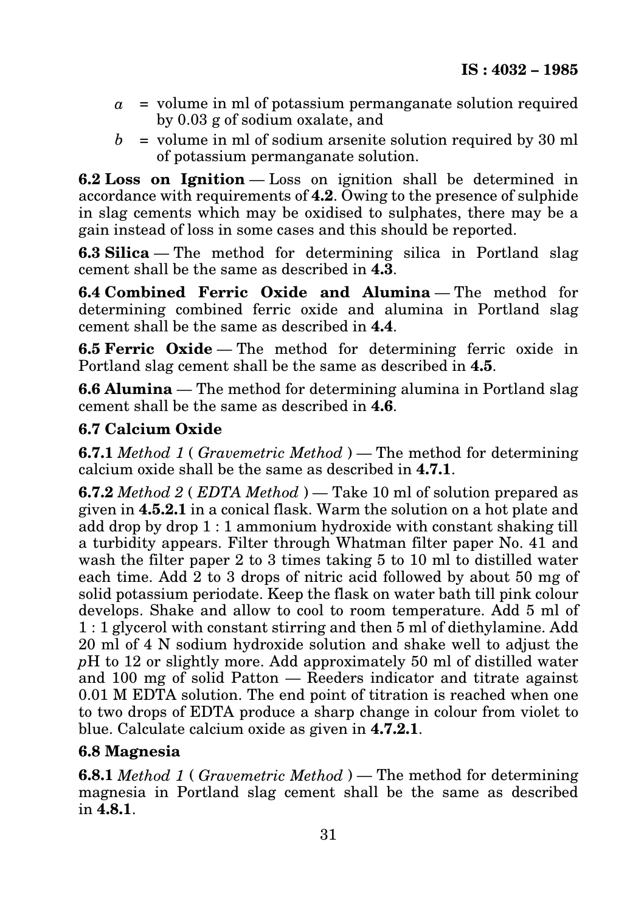- $a =$  volume in ml of potassium permanganate solution required by 0.03 g of sodium oxalate, and
- $b =$  volume in ml of sodium arsenite solution required by 30 ml of potassium permanganate solution.

**6.2 Loss on Ignition** — Loss on ignition shall be determined in accordance with requirements of **4.2**. Owing to the presence of sulphide in slag cements which may be oxidised to sulphates, there may be a gain instead of loss in some cases and this should be reported.

**6.3 Silica** — The method for determining silica in Portland slag cement shall be the same as described in **4.3**.

**6.4 Combined Ferric Oxide and Alumina** — The method for determining combined ferric oxide and alumina in Portland slag cement shall be the same as described in **4.4**.

**6.5 Ferric Oxide** — The method for determining ferric oxide in Portland slag cement shall be the same as described in **4.5**.

**6.6 Alumina** — The method for determining alumina in Portland slag cement shall be the same as described in **4.6**.

#### **6.7 Calcium Oxide**

**6.7.1** *Method 1* ( *Gravemetric Method* ) — The method for determining calcium oxide shall be the same as described in **4.7.1**.

**6.7.2** *Method 2* ( *EDTA Method* ) — Take 10 ml of solution prepared as given in **4.5.2.1** in a conical flask. Warm the solution on a hot plate and add drop by drop 1 : 1 ammonium hydroxide with constant shaking till a turbidity appears. Filter through Whatman filter paper No. 41 and wash the filter paper 2 to 3 times taking 5 to 10 ml to distilled water each time. Add 2 to 3 drops of nitric acid followed by about 50 mg of solid potassium periodate. Keep the flask on water bath till pink colour develops. Shake and allow to cool to room temperature. Add 5 ml of 1 : 1 glycerol with constant stirring and then 5 ml of diethylamine. Add 20 ml of 4 N sodium hydroxide solution and shake well to adjust the *p*H to 12 or slightly more. Add approximately 50 ml of distilled water and 100 mg of solid Patton — Reeders indicator and titrate against 0.01 M EDTA solution. The end point of titration is reached when one to two drops of EDTA produce a sharp change in colour from violet to blue. Calculate calcium oxide as given in **4.7.2.1**.

#### **6.8 Magnesia**

**6.8.1** *Method 1* ( *Gravemetric Method* ) — The method for determining magnesia in Portland slag cement shall be the same as described in **4.8.1**.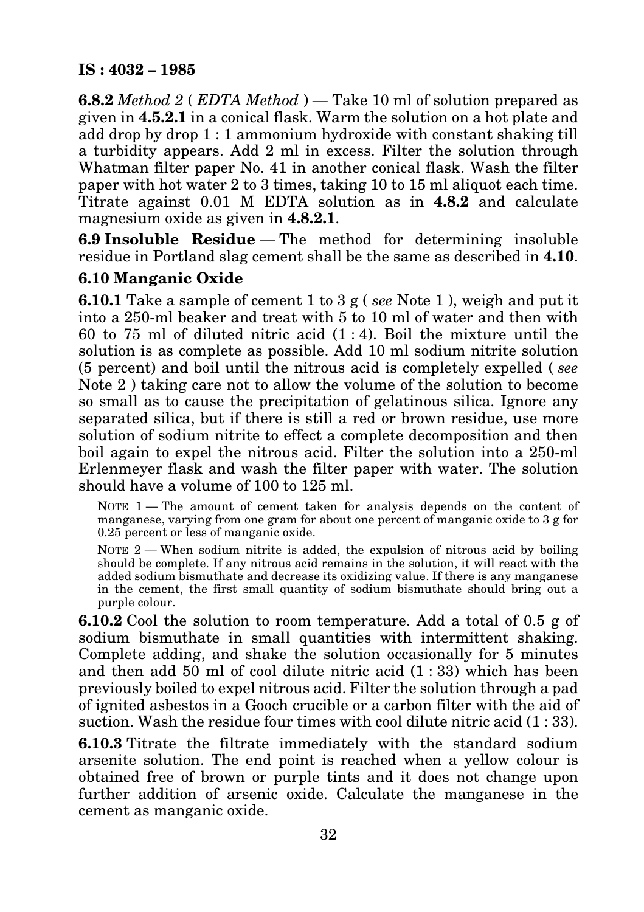**6.8.2** *Method 2* ( *EDTA Method* ) — Take 10 ml of solution prepared as given in **4.5.2.1** in a conical flask. Warm the solution on a hot plate and add drop by drop 1 : 1 ammonium hydroxide with constant shaking till a turbidity appears. Add 2 ml in excess. Filter the solution through Whatman filter paper No. 41 in another conical flask. Wash the filter paper with hot water 2 to 3 times, taking 10 to 15 ml aliquot each time. Titrate against 0.01 M EDTA solution as in **4.8.2** and calculate magnesium oxide as given in **4.8.2.1**.

**6.9 Insoluble Residue** — The method for determining insoluble residue in Portland slag cement shall be the same as described in **4.10**.

#### **6.10 Manganic Oxide**

**6.10.1** Take a sample of cement 1 to 3 g ( *see* Note 1 ), weigh and put it into a 250-ml beaker and treat with 5 to 10 ml of water and then with 60 to 75 ml of diluted nitric acid  $(1:4)$ . Boil the mixture until the solution is as complete as possible. Add 10 ml sodium nitrite solution (5 percent) and boil until the nitrous acid is completely expelled ( *see* Note 2 ) taking care not to allow the volume of the solution to become so small as to cause the precipitation of gelatinous silica. Ignore any separated silica, but if there is still a red or brown residue, use more solution of sodium nitrite to effect a complete decomposition and then boil again to expel the nitrous acid. Filter the solution into a 250-ml Erlenmeyer flask and wash the filter paper with water. The solution should have a volume of 100 to 125 ml.

NOTE 1 — The amount of cement taken for analysis depends on the content of manganese, varying from one gram for about one percent of manganic oxide to 3 g for 0.25 percent or less of manganic oxide.

NOTE 2 — When sodium nitrite is added, the expulsion of nitrous acid by boiling should be complete. If any nitrous acid remains in the solution, it will react with the added sodium bismuthate and decrease its oxidizing value. If there is any manganese in the cement, the first small quantity of sodium bismuthate should bring out a purple colour.

**6.10.2** Cool the solution to room temperature. Add a total of 0.5 g of sodium bismuthate in small quantities with intermittent shaking. Complete adding, and shake the solution occasionally for 5 minutes and then add  $50$  ml of cool dilute nitric acid  $(1:33)$  which has been previously boiled to expel nitrous acid. Filter the solution through a pad of ignited asbestos in a Gooch crucible or a carbon filter with the aid of suction. Wash the residue four times with cool dilute nitric acid (1 : 33).

**6.10.3** Titrate the filtrate immediately with the standard sodium arsenite solution. The end point is reached when a yellow colour is obtained free of brown or purple tints and it does not change upon further addition of arsenic oxide. Calculate the manganese in the cement as manganic oxide.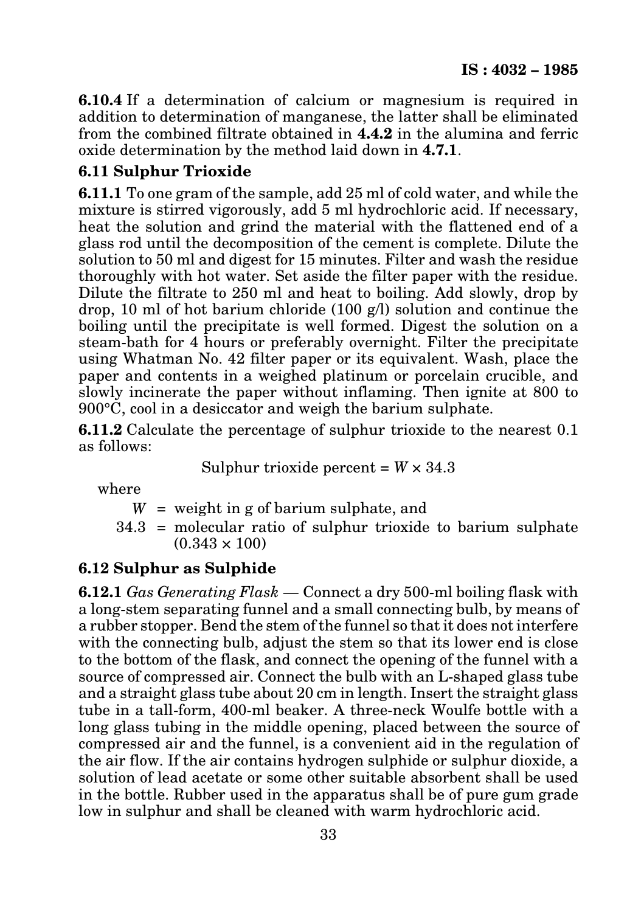**6.10.4** If a determination of calcium or magnesium is required in addition to determination of manganese, the latter shall be eliminated from the combined filtrate obtained in **4.4.2** in the alumina and ferric oxide determination by the method laid down in **4.7.1**.

#### **6.11 Sulphur Trioxide**

**6.11.1** To one gram of the sample, add 25 ml of cold water, and while the mixture is stirred vigorously, add 5 ml hydrochloric acid. If necessary, heat the solution and grind the material with the flattened end of a glass rod until the decomposition of the cement is complete. Dilute the solution to 50 ml and digest for 15 minutes. Filter and wash the residue thoroughly with hot water. Set aside the filter paper with the residue. Dilute the filtrate to 250 ml and heat to boiling. Add slowly, drop by drop, 10 ml of hot barium chloride (100  $g/l$ ) solution and continue the boiling until the precipitate is well formed. Digest the solution on a steam-bath for 4 hours or preferably overnight. Filter the precipitate using Whatman No. 42 filter paper or its equivalent. Wash, place the paper and contents in a weighed platinum or porcelain crucible, and slowly incinerate the paper without inflaming. Then ignite at 800 to 900°C, cool in a desiccator and weigh the barium sulphate.

**6.11.2** Calculate the percentage of sulphur trioxide to the nearest 0.1 as follows:

Sulphur trioxide percent =  $W \times 34.3$ 

where

- *W* = weight in g of barium sulphate, and
- 34.3 = molecular ratio of sulphur trioxide to barium sulphate  $(0.343 \times 100)$

#### **6.12 Sulphur as Sulphide**

**6.12.1** *Gas Generating Flask* — Connect a dry 500-ml boiling flask with a long-stem separating funnel and a small connecting bulb, by means of a rubber stopper. Bend the stem of the funnel so that it does not interfere with the connecting bulb, adjust the stem so that its lower end is close to the bottom of the flask, and connect the opening of the funnel with a source of compressed air. Connect the bulb with an L-shaped glass tube and a straight glass tube about 20 cm in length. Insert the straight glass tube in a tall-form, 400-ml beaker. A three-neck Woulfe bottle with a long glass tubing in the middle opening, placed between the source of compressed air and the funnel, is a convenient aid in the regulation of the air flow. If the air contains hydrogen sulphide or sulphur dioxide, a solution of lead acetate or some other suitable absorbent shall be used in the bottle. Rubber used in the apparatus shall be of pure gum grade low in sulphur and shall be cleaned with warm hydrochloric acid.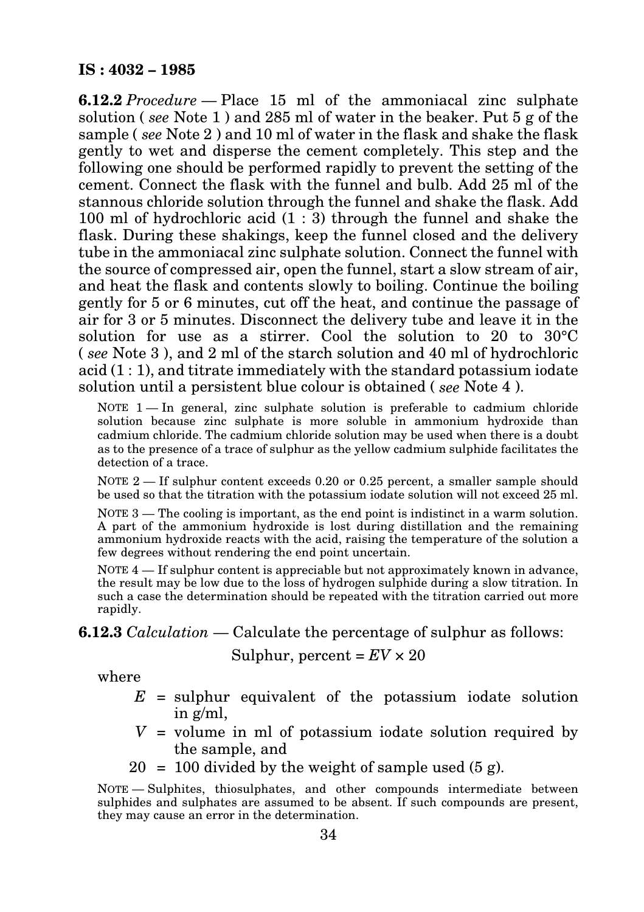**6.12.2** *Procedure* — Place 15 ml of the ammoniacal zinc sulphate solution ( *see* Note 1 ) and 285 ml of water in the beaker. Put 5 g of the sample ( *see* Note 2 ) and 10 ml of water in the flask and shake the flask gently to wet and disperse the cement completely. This step and the following one should be performed rapidly to prevent the setting of the cement. Connect the flask with the funnel and bulb. Add 25 ml of the stannous chloride solution through the funnel and shake the flask. Add 100 ml of hydrochloric acid  $(1:3)$  through the funnel and shake the flask. During these shakings, keep the funnel closed and the delivery tube in the ammoniacal zinc sulphate solution. Connect the funnel with the source of compressed air, open the funnel, start a slow stream of air, and heat the flask and contents slowly to boiling. Continue the boiling gently for 5 or 6 minutes, cut off the heat, and continue the passage of air for 3 or 5 minutes. Disconnect the delivery tube and leave it in the solution for use as a stirrer. Cool the solution to 20 to 30°C ( *see* Note 3 ), and 2 ml of the starch solution and 40 ml of hydrochloric acid (1 : 1), and titrate immediately with the standard potassium iodate solution until a persistent blue colour is obtained ( *see* Note 4 ).

NOTE  $1$  — In general, zinc sulphate solution is preferable to cadmium chloride solution because zinc sulphate is more soluble in ammonium hydroxide than cadmium chloride. The cadmium chloride solution may be used when there is a doubt as to the presence of a trace of sulphur as the yellow cadmium sulphide facilitates the detection of a trace.

NOTE 2 — If sulphur content exceeds 0.20 or 0.25 percent, a smaller sample should be used so that the titration with the potassium iodate solution will not exceed 25 ml.

NOTE  $3$  — The cooling is important, as the end point is indistinct in a warm solution. A part of the ammonium hydroxide is lost during distillation and the remaining ammonium hydroxide reacts with the acid, raising the temperature of the solution a few degrees without rendering the end point uncertain.

NOTE 4 — If sulphur content is appreciable but not approximately known in advance, the result may be low due to the loss of hydrogen sulphide during a slow titration. In such a case the determination should be repeated with the titration carried out more rapidly.

**6.12.3** *Calculation* — Calculate the percentage of sulphur as follows:

Sulphur, percent =  $EV \times 20$ 

where

- $E =$  sulphur equivalent of the potassium iodate solution in g/ml,
- $V =$  volume in ml of potassium iodate solution required by the sample, and
- $20 = 100$  divided by the weight of sample used  $(5 g)$ .

NOTE — Sulphites, thiosulphates, and other compounds intermediate between sulphides and sulphates are assumed to be absent. If such compounds are present, they may cause an error in the determination.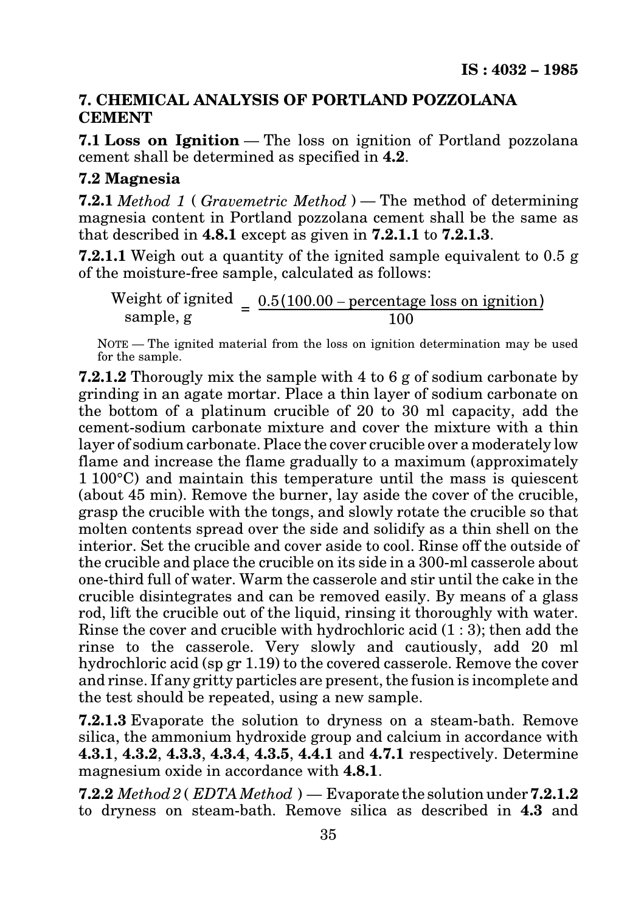#### **7. CHEMICAL ANALYSIS OF PORTLAND POZZOLANA CEMENT**

**7.1 Loss on Ignition** — The loss on ignition of Portland pozzolana cement shall be determined as specified in **4.2**.

#### **7.2 Magnesia**

**7.2.1** *Method 1* ( *Gravemetric Method* ) — The method of determining magnesia content in Portland pozzolana cement shall be the same as that described in **4.8.1** except as given in **7.2.1.1** to **7.2.1.3**.

**7.2.1.1** Weigh out a quantity of the ignited sample equivalent to 0.5 g. of the moisture-free sample, calculated as follows:

Weight of ignited  $=\frac{0.5(100.00 - \text{percentage loss on } \text{ignition})}{0.5(100.00 - \text{percentage loss on } \text{ignition})}$ sample, g 100

NOTE — The ignited material from the loss on ignition determination may be used for the sample.

**7.2.1.2** Thorougly mix the sample with 4 to 6 g of sodium carbonate by grinding in an agate mortar. Place a thin layer of sodium carbonate on the bottom of a platinum crucible of 20 to 30 ml capacity, add the cement-sodium carbonate mixture and cover the mixture with a thin layer of sodium carbonate. Place the cover crucible over a moderately low flame and increase the flame gradually to a maximum (approximately 1 100°C) and maintain this temperature until the mass is quiescent (about 45 min). Remove the burner, lay aside the cover of the crucible, grasp the crucible with the tongs, and slowly rotate the crucible so that molten contents spread over the side and solidify as a thin shell on the interior. Set the crucible and cover aside to cool. Rinse off the outside of the crucible and place the crucible on its side in a 300-ml casserole about one-third full of water. Warm the casserole and stir until the cake in the crucible disintegrates and can be removed easily. By means of a glass rod, lift the crucible out of the liquid, rinsing it thoroughly with water. Rinse the cover and crucible with hydrochloric acid  $(1:3)$ ; then add the rinse to the casserole. Very slowly and cautiously, add 20 ml hydrochloric acid (sp gr 1.19) to the covered casserole. Remove the cover and rinse. If any gritty particles are present, the fusion is incomplete and the test should be repeated, using a new sample.

**7.2.1.3** Evaporate the solution to dryness on a steam-bath. Remove silica, the ammonium hydroxide group and calcium in accordance with **4.3.1**, **4.3.2**, **4.3.3**, **4.3.4**, **4.3.5**, **4.4.1** and **4.7.1** respectively. Determine magnesium oxide in accordance with **4.8.1**.

**7.2.2** *Method 2* ( *EDTA Method* ) — Evaporate the solution under **7.2.1.2** to dryness on steam-bath. Remove silica as described in **4.3** and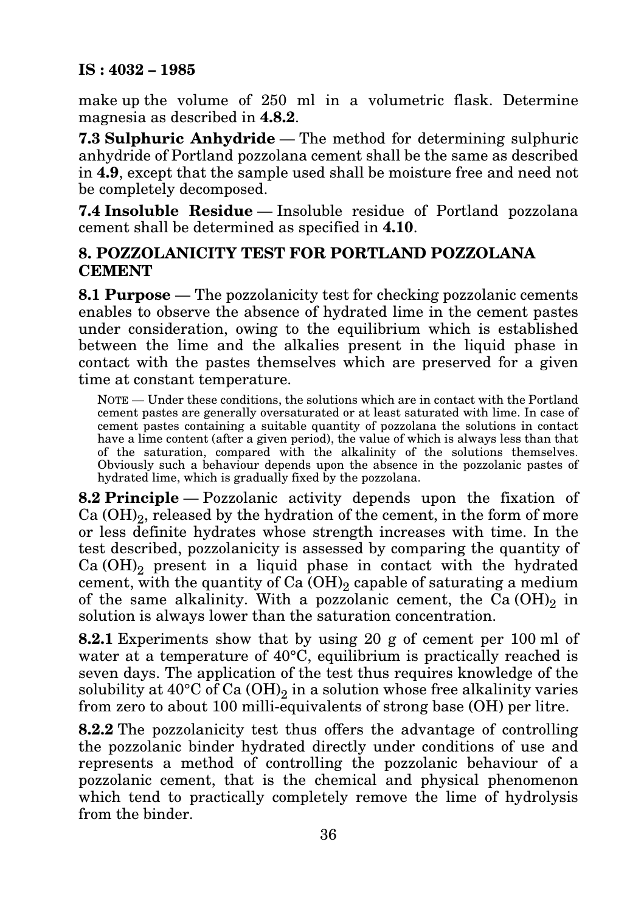make up the volume of 250 ml in a volumetric flask. Determine magnesia as described in **4.8.2**.

**7.3 Sulphuric Anhydride** — The method for determining sulphuric anhydride of Portland pozzolana cement shall be the same as described in **4.9**, except that the sample used shall be moisture free and need not be completely decomposed.

**7.4 Insoluble Residue** — Insoluble residue of Portland pozzolana cement shall be determined as specified in **4.10**.

#### **8. POZZOLANICITY TEST FOR PORTLAND POZZOLANA CEMENT**

**8.1 Purpose** — The pozzolanicity test for checking pozzolanic cements enables to observe the absence of hydrated lime in the cement pastes under consideration, owing to the equilibrium which is established between the lime and the alkalies present in the liquid phase in contact with the pastes themselves which are preserved for a given time at constant temperature.

NOTE — Under these conditions, the solutions which are in contact with the Portland cement pastes are generally oversaturated or at least saturated with lime. In case of cement pastes containing a suitable quantity of pozzolana the solutions in contact have a lime content (after a given period), the value of which is always less than that of the saturation, compared with the alkalinity of the solutions themselves. Obviously such a behaviour depends upon the absence in the pozzolanic pastes of hydrated lime, which is gradually fixed by the pozzolana.

**8.2 Principle** — Pozzolanic activity depends upon the fixation of Ca  $(OH)_2$ , released by the hydration of the cement, in the form of more or less definite hydrates whose strength increases with time. In the test described, pozzolanicity is assessed by comparing the quantity of  $Ca(OH)_2$  present in a liquid phase in contact with the hydrated cement, with the quantity of Ca  $(OH)_2$  capable of saturating a medium of the same alkalinity. With a pozzolanic cement, the  $\rm Ca\,(OH)_2$  in solution is always lower than the saturation concentration.

**8.2.1** Experiments show that by using 20 g of cement per 100 ml of water at a temperature of 40°C, equilibrium is practically reached is seven days. The application of the test thus requires knowledge of the solubility at  $40^{\circ}\text{C}$  of Ca  $\text{(OH)}_{2}$  in a solution whose free alkalinity varies from zero to about 100 milli-equivalents of strong base (OH) per litre.

**8.2.2** The pozzolanicity test thus offers the advantage of controlling the pozzolanic binder hydrated directly under conditions of use and represents a method of controlling the pozzolanic behaviour of a pozzolanic cement, that is the chemical and physical phenomenon which tend to practically completely remove the lime of hydrolysis from the binder.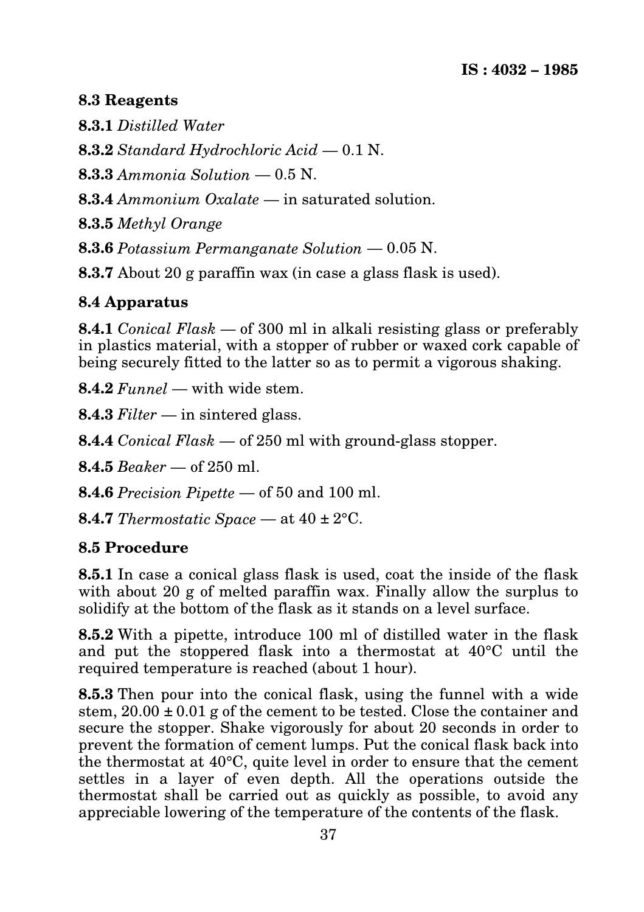#### **8.3 Reagents**

**8.3.1** *Distilled Water*

**8.3.2** *Standard Hydrochloric Acid* — 0.1 N.

**8.3.3** *Ammonia Solution* — 0.5 N.

**8.3.4** *Ammonium Oxalate* — in saturated solution.

**8.3.5** *Methyl Orange*

**8.3.6** *Potassium Permanganate Solution* — 0.05 N.

**8.3.7** About 20 g paraffin wax (in case a glass flask is used).

#### **8.4 Apparatus**

**8.4.1** *Conical Flask* — of 300 ml in alkali resisting glass or preferably in plastics material, with a stopper of rubber or waxed cork capable of being securely fitted to the latter so as to permit a vigorous shaking.

**8.4.2** *Funnel* — with wide stem.

**8.4.3** *Filter* — in sintered glass.

**8.4.4** *Conical Flask* — of 250 ml with ground-glass stopper.

**8.4.5** *Beaker* — of 250 ml.

**8.4.6** *Precision Pipette* — of 50 and 100 ml.

**8.4.7** *Thermostatic Space* — at  $40 \pm 2^{\circ}$ C.

#### **8.5 Procedure**

**8.5.1** In case a conical glass flask is used, coat the inside of the flask with about 20 g of melted paraffin wax. Finally allow the surplus to solidify at the bottom of the flask as it stands on a level surface.

**8.5.2** With a pipette, introduce 100 ml of distilled water in the flask and put the stoppered flask into a thermostat at 40°C until the required temperature is reached (about 1 hour).

**8.5.3** Then pour into the conical flask, using the funnel with a wide stem,  $20.00 \pm 0.01$  g of the cement to be tested. Close the container and secure the stopper. Shake vigorously for about 20 seconds in order to prevent the formation of cement lumps. Put the conical flask back into the thermostat at 40°C, quite level in order to ensure that the cement settles in a layer of even depth. All the operations outside the thermostat shall be carried out as quickly as possible, to avoid any appreciable lowering of the temperature of the contents of the flask.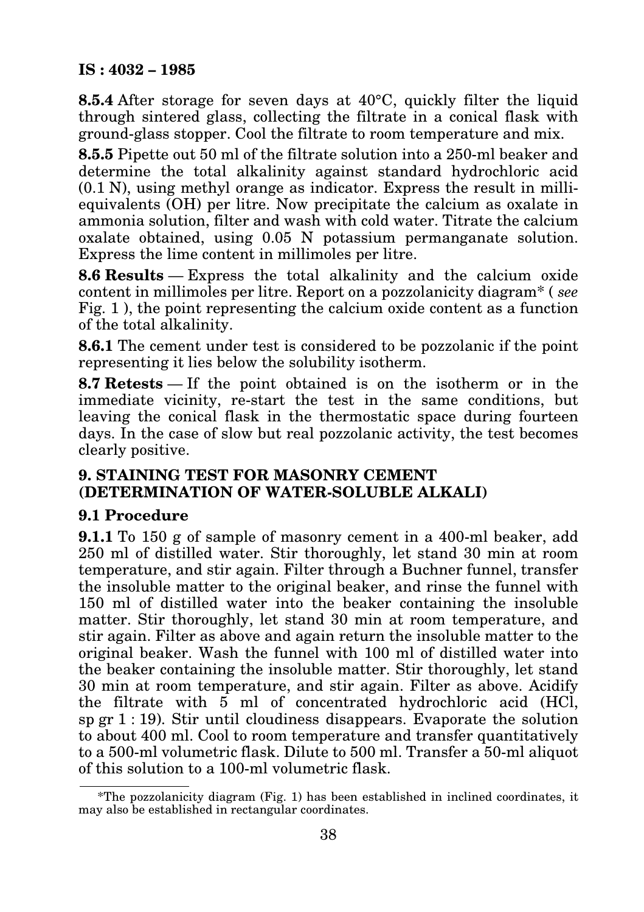**8.5.4** After storage for seven days at 40°C, quickly filter the liquid through sintered glass, collecting the filtrate in a conical flask with ground-glass stopper. Cool the filtrate to room temperature and mix.

**8.5.5** Pipette out 50 ml of the filtrate solution into a 250-ml beaker and determine the total alkalinity against standard hydrochloric acid (0.1 N), using methyl orange as indicator. Express the result in milliequivalents (OH) per litre. Now precipitate the calcium as oxalate in ammonia solution, filter and wash with cold water. Titrate the calcium oxalate obtained, using 0.05 N potassium permanganate solution. Express the lime content in millimoles per litre.

**8.6 Results** — Express the total alkalinity and the calcium oxide content in millimoles per litre. Report on a pozzolanicity diagram\* ( *see* Fig. 1 ), the point representing the calcium oxide content as a function of the total alkalinity.

**8.6.1** The cement under test is considered to be pozzolanic if the point representing it lies below the solubility isotherm.

**8.7 Retests** — If the point obtained is on the isotherm or in the immediate vicinity, re-start the test in the same conditions, but leaving the conical flask in the thermostatic space during fourteen days. In the case of slow but real pozzolanic activity, the test becomes clearly positive.

#### **9. STAINING TEST FOR MASONRY CEMENT (DETERMINATION OF WATER-SOLUBLE ALKALI)**

#### **9.1 Procedure**

**9.1.1** To 150 g of sample of masonry cement in a 400-ml beaker, add 250 ml of distilled water. Stir thoroughly, let stand 30 min at room temperature, and stir again. Filter through a Buchner funnel, transfer the insoluble matter to the original beaker, and rinse the funnel with 150 ml of distilled water into the beaker containing the insoluble matter. Stir thoroughly, let stand 30 min at room temperature, and stir again. Filter as above and again return the insoluble matter to the original beaker. Wash the funnel with 100 ml of distilled water into the beaker containing the insoluble matter. Stir thoroughly, let stand 30 min at room temperature, and stir again. Filter as above. Acidify the filtrate with 5 ml of concentrated hydrochloric acid (HCl, sp gr 1 : 19). Stir until cloudiness disappears. Evaporate the solution to about 400 ml. Cool to room temperature and transfer quantitatively to a 500-ml volumetric flask. Dilute to 500 ml. Transfer a 50-ml aliquot of this solution to a 100-ml volumetric flask.

<sup>\*</sup>The pozzolanicity diagram (Fig. 1) has been established in inclined coordinates, it may also be established in rectangular coordinates.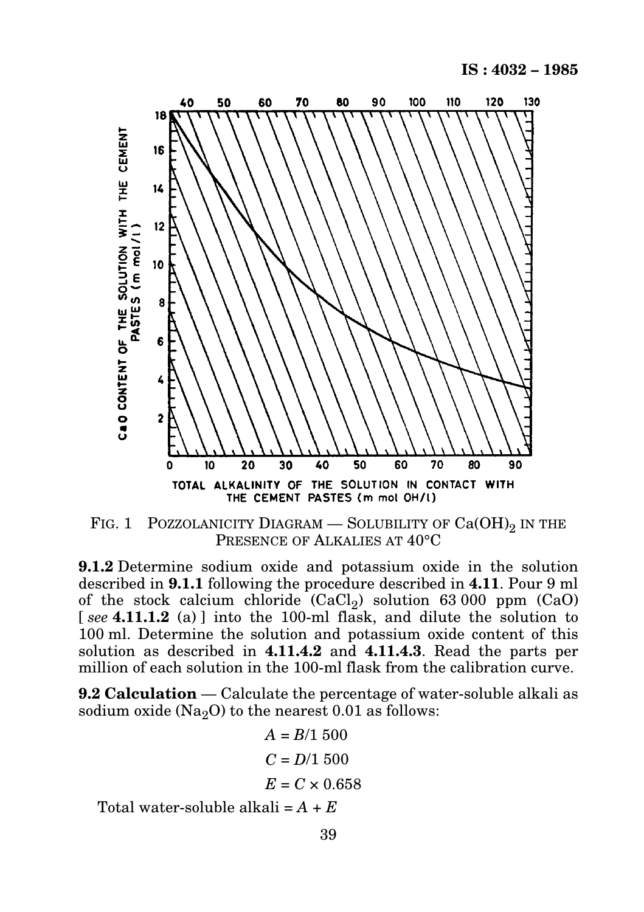

FIG. 1 POZZOLANICITY DIAGRAM — SOLUBILITY OF  $\rm Ca(OH)_2$  in the PRESENCE OF ALKALIES AT 40°C

**9.1.2** Determine sodium oxide and potassium oxide in the solution described in **9.1.1** following the procedure described in **4.11**. Pour 9 ml of the stock calcium chloride  $(CaCl<sub>2</sub>)$  solution 63 000 ppm  $(CaO)$ [ see **4.11.1.2** (a)] into the 100-ml flask, and dilute the solution to 100 ml. Determine the solution and potassium oxide content of this solution as described in **4.11.4.2** and **4.11.4.3**. Read the parts per million of each solution in the 100-ml flask from the calibration curve.

**9.2 Calculation** — Calculate the percentage of water-soluble alkali as sodium oxide (Na<sub>2</sub>O) to the nearest 0.01 as follows:

$$
A = B/1\ 500
$$

$$
C = D/1\ 500
$$

$$
E = C \times 0.658
$$

Total water-soluble alkali $=A$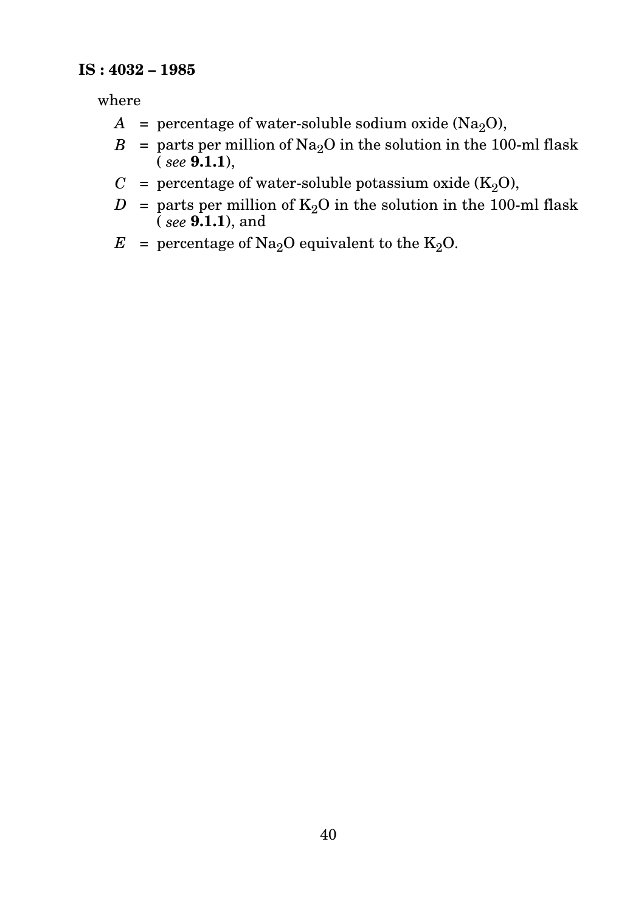where

- $A =$  percentage of water-soluble sodium oxide (Na<sub>2</sub>O),
- $B =$  parts per million of Na<sub>2</sub>O in the solution in the 100-ml flask ( *see* **9.1.1**),
- *C* = percentage of water-soluble potassium oxide  $(K_2O)$ ,
- *D* = parts per million of  $K_2O$  in the solution in the 100-ml flask ( *see* **9.1.1**), and
- $E$  = percentage of Na<sub>2</sub>O equivalent to the K<sub>2</sub>O.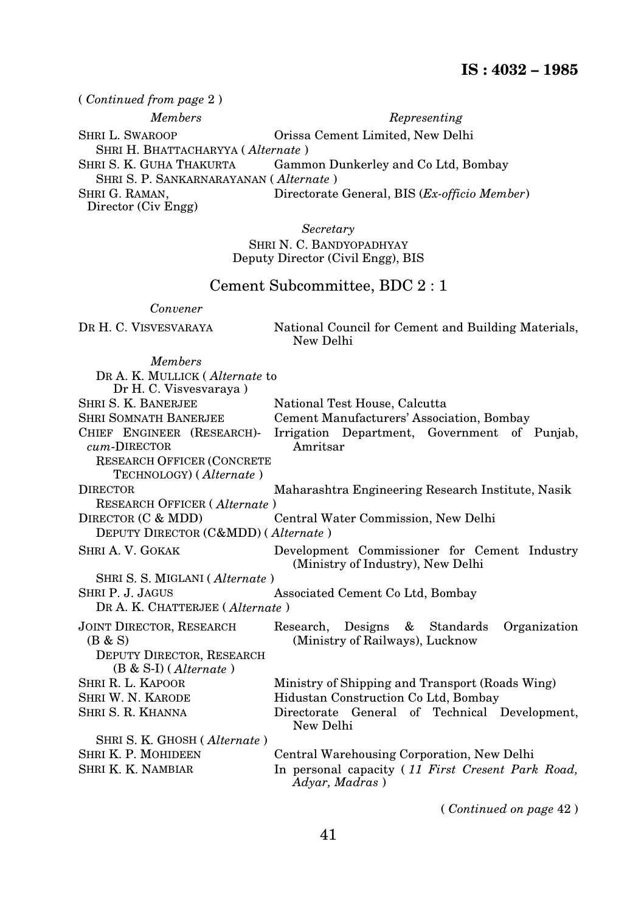( *Continued from page* 2) *Members Representing* SHRI L. SWAROOP Orissa Cement Limited, New Delhi SHRI H. BHATTACHARYYA ( *Alternate* ) SHRI S. K. GUHA THAKURTA Gammon Dunkerley and Co Ltd, Bombay SHRI S. P. SANKARNARAYANAN ( *Alternate* ) SHRI G. RAMAN, Director (Civ Engg) Directorate General, BIS (*Ex-officio Member*)

*Secretary*

SHRI N. C. BANDYOPADHYAY Deputy Director (Civil Engg), BIS

#### Cement Subcommittee, BDC 2 : 1

*Convener*

| DR H. C. VISVESVARAYA | National Council for Cement and Building Materials. |
|-----------------------|-----------------------------------------------------|
|                       | New Delhi                                           |

| <b>Members</b><br>DR A. K. MULLICK (Alternate to<br>Dr H. C. Visvesvaraya) |                                                                                   |  |  |
|----------------------------------------------------------------------------|-----------------------------------------------------------------------------------|--|--|
| SHRI S. K. BANERJEE                                                        | National Test House, Calcutta                                                     |  |  |
| <b>SHRI SOMNATH BANERJEE</b>                                               | Cement Manufacturers' Association, Bombay                                         |  |  |
| CHIEF ENGINEER (RESEARCH)-<br>$cum$ -DIRECTOR                              | Irrigation Department, Government of Punjab,<br>Amritsar                          |  |  |
| <b>RESEARCH OFFICER (CONCRETE</b><br>TECHNOLOGY) (Alternate)               |                                                                                   |  |  |
| <b>DIRECTOR</b>                                                            | Maharashtra Engineering Research Institute, Nasik                                 |  |  |
| <b>RESEARCH OFFICER (Alternate)</b>                                        |                                                                                   |  |  |
| DIRECTOR (C & MDD)                                                         | Central Water Commission, New Delhi                                               |  |  |
| DEPUTY DIRECTOR (C&MDD) (Alternate)                                        |                                                                                   |  |  |
| <b>SHRI A. V. GOKAK</b>                                                    | Development Commissioner for Cement Industry<br>(Ministry of Industry), New Delhi |  |  |
| SHRI S. S. MIGLANI (Alternate)                                             |                                                                                   |  |  |
| <b>SHRI P. J. JAGUS</b>                                                    | Associated Cement Co Ltd, Bombay                                                  |  |  |
| DR A. K. CHATTERJEE (Alternate)                                            |                                                                                   |  |  |
| <b>JOINT DIRECTOR, RESEARCH</b><br>(B & S)                                 | Research, Designs & Standards<br>Organization<br>(Ministry of Railways), Lucknow  |  |  |
| DEPUTY DIRECTOR, RESEARCH<br>$(B & S-I)$ (Alternate)                       |                                                                                   |  |  |
| <b>SHRI R. L. KAPOOR</b>                                                   | Ministry of Shipping and Transport (Roads Wing)                                   |  |  |
| <b>SHRI W. N. KARODE</b>                                                   | Hidustan Construction Co Ltd, Bombay                                              |  |  |
| SHRI S. R. KHANNA                                                          | Directorate General of Technical Development,<br>New Delhi                        |  |  |
| SHRI S. K. GHOSH (Alternate)                                               |                                                                                   |  |  |
| <b>SHRI K. P. MOHIDEEN</b>                                                 | Central Warehousing Corporation, New Delhi                                        |  |  |
| <b>SHRI K. K. NAMBIAR</b>                                                  | In personal capacity (11 First Cresent Park Road,<br>Adyar, Madras)               |  |  |

( *Continued on page* 42 )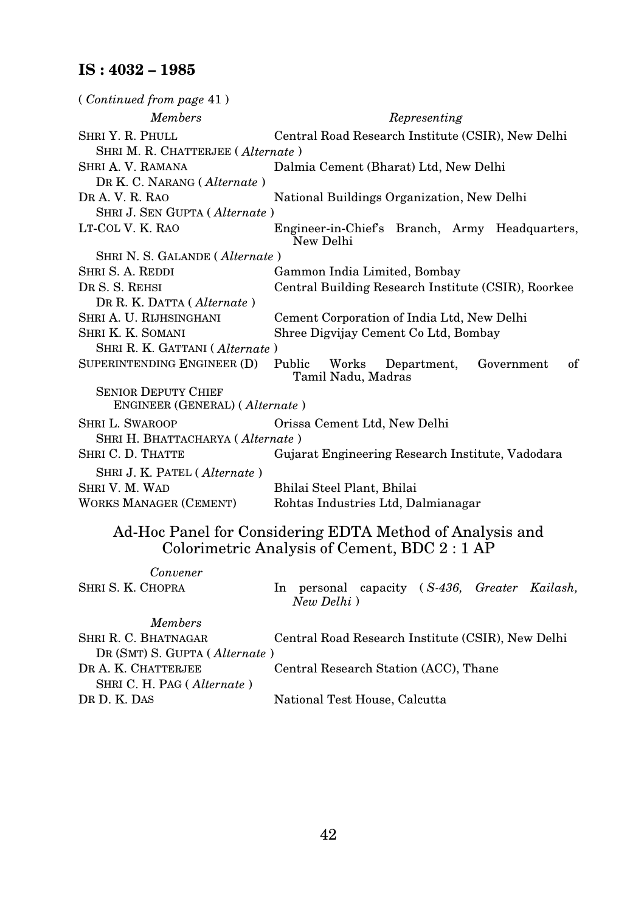| (Continued from page 41)                                     |                                                                          |  |  |
|--------------------------------------------------------------|--------------------------------------------------------------------------|--|--|
| <b>Members</b>                                               | Representing                                                             |  |  |
| <b>SHRI Y. R. PHULL</b>                                      | Central Road Research Institute (CSIR), New Delhi                        |  |  |
| SHRI M. R. CHATTERJEE (Alternate)                            |                                                                          |  |  |
| SHRI A. V. RAMANA                                            | Dalmia Cement (Bharat) Ltd, New Delhi                                    |  |  |
| DR K. C. NARANG (Alternate)                                  |                                                                          |  |  |
| DR A. V. R. RAO                                              | National Buildings Organization, New Delhi                               |  |  |
| SHRI J. SEN GUPTA (Alternate)                                |                                                                          |  |  |
| LT-COL V. K. RAO                                             | Engineer-in-Chief's Branch, Army Headquarters,<br>New Delhi              |  |  |
| SHRI N. S. GALANDE (Alternate)                               |                                                                          |  |  |
| <b>SHRI S. A. REDDI</b>                                      | Gammon India Limited, Bombay                                             |  |  |
| DR S. S. REHSI                                               | Central Building Research Institute (CSIR), Roorkee                      |  |  |
| DR R. K. DATTA (Alternate)                                   |                                                                          |  |  |
| SHRI A. U. RIJHSINGHANI                                      | Cement Corporation of India Ltd, New Delhi                               |  |  |
| SHRI K. K. SOMANI                                            | Shree Digvijay Cement Co Ltd, Bombay                                     |  |  |
| SHRI R. K. GATTANI (Alternate)                               |                                                                          |  |  |
| SUPERINTENDING ENGINEER (D)                                  | of<br>Public<br>Works<br>Department,<br>Government<br>Tamil Nadu, Madras |  |  |
| <b>SENIOR DEPUTY CHIEF</b><br>ENGINEER (GENERAL) (Alternate) |                                                                          |  |  |
| <b>SHRI L. SWAROOP</b>                                       | Orissa Cement Ltd, New Delhi                                             |  |  |
| SHRI H. BHATTACHARYA (Alternate)                             |                                                                          |  |  |
| SHRI C. D. THATTE                                            | Gujarat Engineering Research Institute, Vadodara                         |  |  |
| SHRI J. K. PATEL (Alternate)                                 |                                                                          |  |  |
| <b>SHRI V. M. WAD</b>                                        | Bhilai Steel Plant, Bhilai                                               |  |  |
| WORKS MANAGER (CEMENT)                                       | Rohtas Industries Ltd, Dalmianagar                                       |  |  |

#### Ad-Hoc Panel for Considering EDTA Method of Analysis and Colorimetric Analysis of Cement, BDC 2 : 1 AP

| Convener                      |                                                                   |
|-------------------------------|-------------------------------------------------------------------|
| SHRI S. K. CHOPRA             | personal capacity (S-436, Greater Kailash,<br>$\ln$<br>New Delhi) |
| <i>Members</i>                |                                                                   |
| SHRI R. C. BHATNAGAR          | Central Road Research Institute (CSIR), New Delhi                 |
| DR (SMT) S. GUPTA (Alternate) |                                                                   |
| DR A. K. CHATTERJEE           | Central Research Station (ACC), Thane                             |
| SHRI C. H. PAG (Alternate)    |                                                                   |
| DR D. K. DAS                  | National Test House, Calcutta                                     |